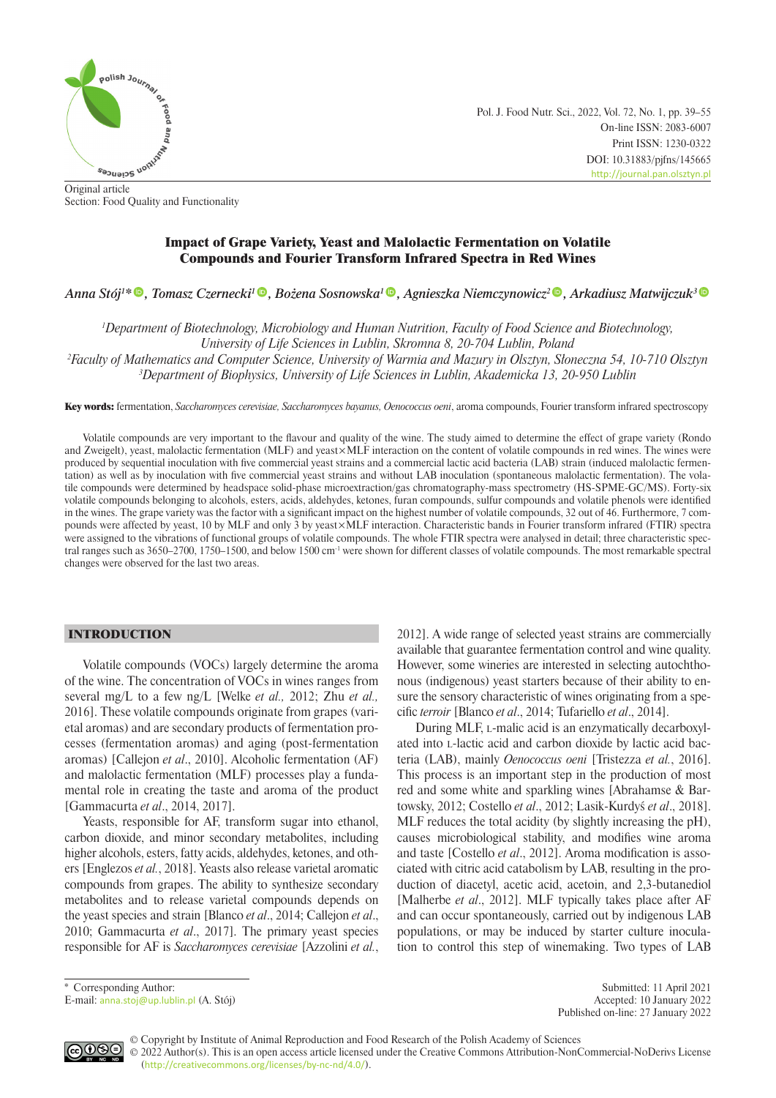

Pol. J. Food Nutr. Sci., 2022, Vol. 72, No. 1, pp. 39–55 On-line ISSN: 2083-6007 Print ISSN: 1230-0322 DOI: 10.31883/pjfns/145665 <http://journal.pan.olsztyn.pl>

Original article Section: Food Quality and Functionality

# Impact of Grape Variety, Yeast and Malolactic Fermentation on Volatile Compounds and Fourier Transform Infrared Spectra in Red Wines

*Anna Stój1 [\\*](https://orcid.org/0000-0003-1824-2051) , Tomasz Czernecki[1](https://orcid.org/0000-0002-3277-2326) , Bożena Sosnowska<sup>1</sup> [,](https://orcid.org/0000-0001-9719-9359) Agnieszka Niemczynowicz<sup>2</sup> , Arkadiusz Matwijczuk[3](https://orcid.org/0000-0003-2630-120X)*

*1 Department of Biotechnology, Microbiology and Human Nutrition, Faculty of Food Science and Biotechnology, University of Life Sciences in Lublin, Skromna 8, 20-704 Lublin, Poland*

*2 Faculty of Mathematics and Computer Science, University of Warmia and Mazury in Olsztyn, Słoneczna 54, 10-710 Olsztyn 3 Department of Biophysics, University of Life Sciences in Lublin, Akademicka 13, 20-950 Lublin*

Key words: fermentation, *Saccharomyces cerevisiae, Saccharomyces bayanus, Oenococcus oeni*, aroma compounds, Fourier transform infrared spectroscopy

Volatile compounds are very important to the flavour and quality of the wine. The study aimed to determine the effect of grape variety (Rondo and Zweigelt), yeast, malolactic fermentation (MLF) and yeast×MLF interaction on the content of volatile compounds in red wines. The wines were produced by sequential inoculation with five commercial yeast strains and a commercial lactic acid bacteria (LAB) strain (induced malolactic fermentation) as well as by inoculation with five commercial yeast strains and without LAB inoculation (spontaneous malolactic fermentation). The volatile compounds were determined by headspace solid-phase microextraction/gas chromatography-mass spectrometry (HS-SPME-GC/MS). Forty-six volatile compounds belonging to alcohols, esters, acids, aldehydes, ketones, furan compounds, sulfur compounds and volatile phenols were identified in the wines. The grape variety was the factor with a significant impact on the highest number of volatile compounds, 32 out of 46. Furthermore, 7 compounds were affected by yeast, 10 by MLF and only 3 by yeast×MLF interaction. Characteristic bands in Fourier transform infrared (FTIR) spectra were assigned to the vibrations of functional groups of volatile compounds. The whole FTIR spectra were analysed in detail; three characteristic spectral ranges such as 3650–2700, 1750–1500, and below 1500 cm-1 were shown for different classes of volatile compounds. The most remarkable spectral changes were observed for the last two areas.

## INTRODUCTION

Volatile compounds (VOCs) largely determine the aroma of the wine. The concentration of VOCs in wines ranges from several mg/L to a few ng/L [Welke *et al.,* 2012; Zhu *et al.,* 2016]. These volatile compounds originate from grapes (varietal aromas) and are secondary products of fermentation processes (fermentation aromas) and aging (post-fermentation aromas) [Callejon *et al*., 2010]. Alcoholic fermentation (AF) and malolactic fermentation (MLF) processes play a fundamental role in creating the taste and aroma of the product [Gammacurta *et al*., 2014, 2017].

Yeasts, responsible for AF, transform sugar into ethanol, carbon dioxide, and minor secondary metabolites, including higher alcohols, esters, fatty acids, aldehydes, ketones, and others [Englezos *et al.*, 2018]. Yeasts also release varietal aromatic compounds from grapes. The ability to synthesize secondary metabolites and to release varietal compounds depends on the yeast species and strain [Blanco *et al*., 2014; Callejon *et al*., 2010; Gammacurta *et al*., 2017]. The primary yeast species responsible for AF is *Saccharomyces cerevisiae* [Azzolini *et al.*, 2012]. A wide range of selected yeast strains are commercially available that guarantee fermentation control and wine quality. However, some wineries are interested in selecting autochthonous (indigenous) yeast starters because of their ability to ensure the sensory characteristic of wines originating from a specific *terroir* [Blanco *et al*., 2014; Tufariello *et al*., 2014].

During MLF, l-malic acid is an enzymatically decarboxylated into l-lactic acid and carbon dioxide by lactic acid bacteria (LAB), mainly *Oenococcus oeni* [Tristezza *et al.*, 2016]. This process is an important step in the production of most red and some white and sparkling wines [Abrahamse & Bartowsky, 2012; Costello *et al*., 2012; Lasik-Kurdyś *et al*., 2018]. MLF reduces the total acidity (by slightly increasing the pH), causes microbiological stability, and modifies wine aroma and taste [Costello *et al*., 2012]. Aroma modification is associated with citric acid catabolism by LAB, resulting in the production of diacetyl, acetic acid, acetoin, and 2,3-butanediol [Malherbe *et al*., 2012]. MLF typically takes place after AF and can occur spontaneously, carried out by indigenous LAB populations, or may be induced by starter culture inoculation to control this step of winemaking. Two types of LAB

\* Corresponding Author: Submitted: 11 April 2021 E-mail: [anna.stoj@up.lublin.pl](mailto:anna.stoj@up.lublin.pl) (A. Stój) Accepted: 10 January 2022 Published on-line: 27 January 2022



© Copyright by Institute of Animal Reproduction and Food Research of the Polish Academy of Sciences © 2022 Author(s). This is an open access article licensed under the Creative Commons Attribution-NonCommercial-NoDerivs License ([http://creativecommons.org/licenses/by-nc-nd/4.0/](http://creativecommons.org/licenses/by-nc-nd/3.0/)).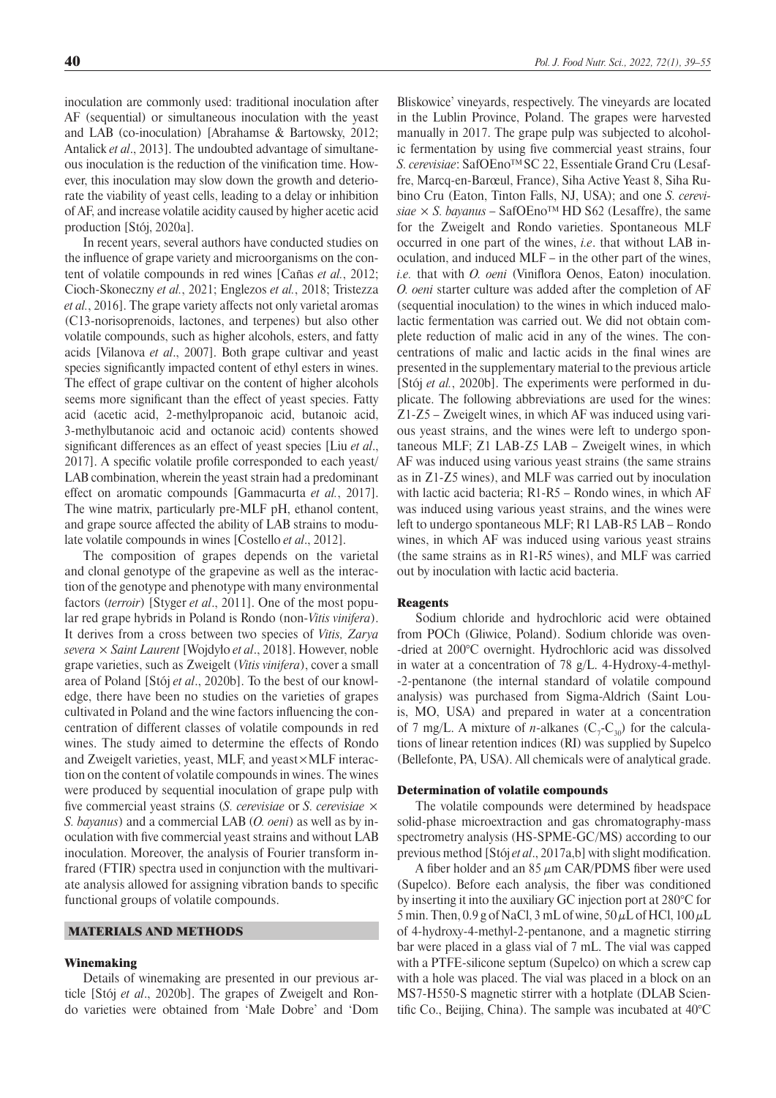and LAB (co-inoculation) [Abrahamse & Bartowsky, 2012; Antalick *et al*., 2013]. The undoubted advantage of simultaneous inoculation is the reduction of the vinification time. However, this inoculation may slow down the growth and deteriorate the viability of yeast cells, leading to a delay or inhibition of AF, and increase volatile acidity caused by higher acetic acid production [Stój, 2020a].

In recent years, several authors have conducted studies on the influence of grape variety and microorganisms on the content of volatile compounds in red wines [Cañas *et al.*, 2012; Cioch-Skoneczny *et al.*, 2021; Englezos *et al.*, 2018; Tristezza *et al.*, 2016]. The grape variety affects not only varietal aromas (C13-norisoprenoids, lactones, and terpenes) but also other volatile compounds, such as higher alcohols, esters, and fatty acids [Vilanova *et al*., 2007]. Both grape cultivar and yeast species significantly impacted content of ethyl esters in wines. The effect of grape cultivar on the content of higher alcohols seems more significant than the effect of yeast species. Fatty acid (acetic acid, 2-methylpropanoic acid, butanoic acid, 3-methylbutanoic acid and octanoic acid) contents showed significant differences as an effect of yeast species [Liu *et al*., 2017]. A specific volatile profile corresponded to each yeast/ LAB combination, wherein the yeast strain had a predominant effect on aromatic compounds [Gammacurta *et al.*, 2017]. The wine matrix, particularly pre-MLF pH, ethanol content, and grape source affected the ability of LAB strains to modulate volatile compounds in wines [Costello *et al*., 2012].

The composition of grapes depends on the varietal and clonal genotype of the grapevine as well as the interaction of the genotype and phenotype with many environmental factors (*terroir*) [Styger *et al*., 2011]. One of the most popular red grape hybrids in Poland is Rondo (non-*Vitis vinifera*). It derives from a cross between two species of *Vitis, Zarya severa* × *Saint Laurent* [Wojdyło *et al*., 2018]. However, noble grape varieties, such as Zweigelt (*Vitis vinifera*), cover a small area of Poland [Stój *et al*., 2020b]. To the best of our knowledge, there have been no studies on the varieties of grapes cultivated in Poland and the wine factors influencing the concentration of different classes of volatile compounds in red wines. The study aimed to determine the effects of Rondo and Zweigelt varieties, yeast, MLF, and yeast×MLF interaction on the content of volatile compounds in wines. The wines were produced by sequential inoculation of grape pulp with five commercial yeast strains (*S. cerevisiae* or *S. cerevisiae* × *S. bayanus*) and a commercial LAB (*O. oeni*) as well as by inoculation with five commercial yeast strains and without LAB inoculation. Moreover, the analysis of Fourier transform infrared (FTIR) spectra used in conjunction with the multivariate analysis allowed for assigning vibration bands to specific functional groups of volatile compounds.

### MATERIALS AND METHODS

# Winemaking

Details of winemaking are presented in our previous article [Stój *et al*., 2020b]. The grapes of Zweigelt and Rondo varieties were obtained from 'Małe Dobre' and 'Dom

Bliskowice' vineyards, respectively. The vineyards are located in the Lublin Province, Poland. The grapes were harvested manually in 2017. The grape pulp was subjected to alcoholic fermentation by using five commercial yeast strains, four *S. cerevisiae*: SafOEnoTM SC 22, Essentiale Grand Cru (Lesaffre, Marcq-en-Barœul, France), Siha Active Yeast 8, Siha Rubino Cru (Eaton, Tinton Falls, NJ, USA); and one *S. cerevi* $size \times S$ . *bayanus* – SafOEno<sup>TM</sup> HD S62 (Lesaffre), the same for the Zweigelt and Rondo varieties. Spontaneous MLF occurred in one part of the wines, *i.e*. that without LAB inoculation, and induced MLF – in the other part of the wines, *i.e.* that with *O. oeni* (Viniflora Oenos, Eaton) inoculation. *O. oeni* starter culture was added after the completion of AF (sequential inoculation) to the wines in which induced malolactic fermentation was carried out. We did not obtain complete reduction of malic acid in any of the wines. The concentrations of malic and lactic acids in the final wines are presented in the supplementary material to the previous article [Stój *et al.*, 2020b]. The experiments were performed in duplicate. The following abbreviations are used for the wines: Z1-Z5 – Zweigelt wines, in which AF was induced using various yeast strains, and the wines were left to undergo spontaneous MLF; Z1 LAB-Z5 LAB – Zweigelt wines, in which AF was induced using various yeast strains (the same strains as in Z1-Z5 wines), and MLF was carried out by inoculation with lactic acid bacteria; R1-R5 – Rondo wines, in which AF was induced using various yeast strains, and the wines were left to undergo spontaneous MLF; R1 LAB-R5 LAB – Rondo wines, in which AF was induced using various yeast strains (the same strains as in R1-R5 wines), and MLF was carried out by inoculation with lactic acid bacteria.

#### **Reagents**

Sodium chloride and hydrochloric acid were obtained from POCh (Gliwice, Poland). Sodium chloride was oven- -dried at 200°C overnight. Hydrochloric acid was dissolved in water at a concentration of 78 g/L. 4-Hydroxy-4-methyl- -2-pentanone (the internal standard of volatile compound analysis) was purchased from Sigma-Aldrich (Saint Louis, MO, USA) and prepared in water at a concentration of 7 mg/L. A mixture of *n*-alkanes  $(C_7-C_{30})$  for the calculations of linear retention indices (RI) was supplied by Supelco (Bellefonte, PA, USA). All chemicals were of analytical grade.

### Determination of volatile compounds

The volatile compounds were determined by headspace solid-phase microextraction and gas chromatography-mass spectrometry analysis (HS-SPME-GC/MS) according to our previous method [Stój *et al*., 2017a,b] with slight modification.

A fiber holder and an  $85 \mu m$  CAR/PDMS fiber were used (Supelco). Before each analysis, the fiber was conditioned by inserting it into the auxiliary GC injection port at 280°C for 5 min. Then, 0.9 g of NaCl, 3 mL of wine,  $50 \mu L$  of HCl,  $100 \mu L$ of 4-hydroxy-4-methyl-2-pentanone, and a magnetic stirring bar were placed in a glass vial of 7 mL. The vial was capped with a PTFE-silicone septum (Supelco) on which a screw cap with a hole was placed. The vial was placed in a block on an MS7-H550-S magnetic stirrer with a hotplate (DLAB Scientific Co., Beijing, China). The sample was incubated at 40°C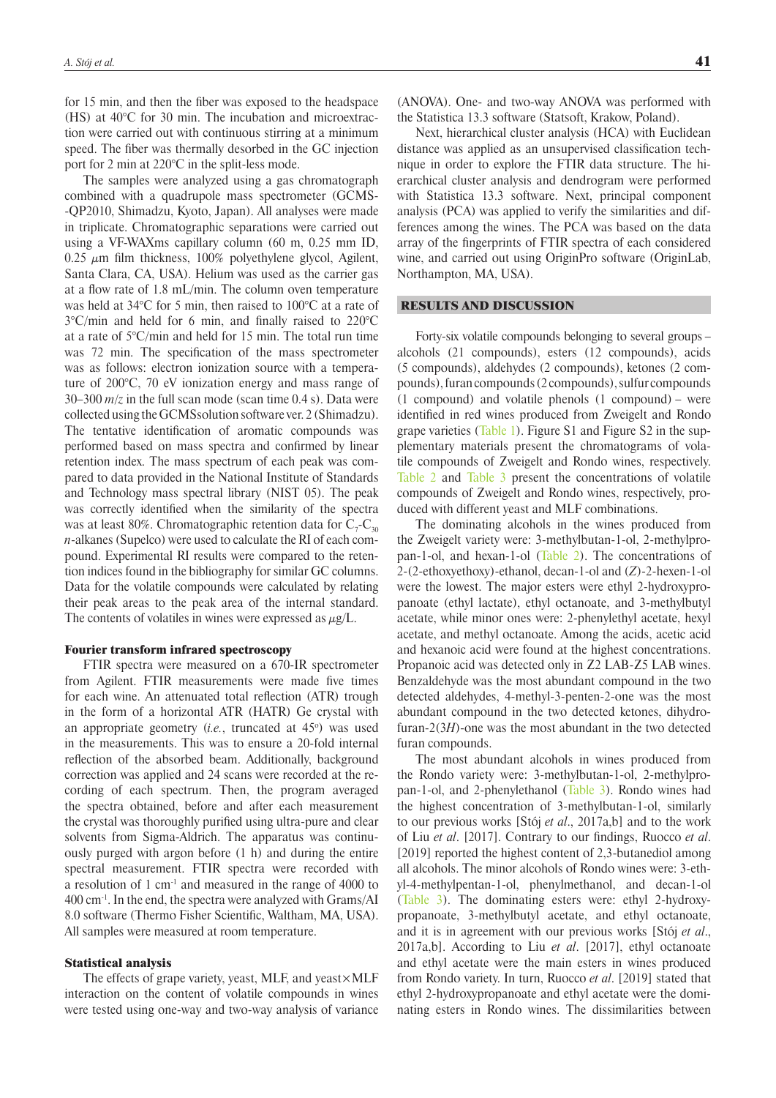for 15 min, and then the fiber was exposed to the headspace (HS) at 40°C for 30 min. The incubation and microextraction were carried out with continuous stirring at a minimum speed. The fiber was thermally desorbed in the GC injection port for 2 min at 220°C in the split-less mode.

The samples were analyzed using a gas chromatograph combined with a quadrupole mass spectrometer (GCMS- -QP2010, Shimadzu, Kyoto, Japan). All analyses were made in triplicate. Chromatographic separations were carried out using a VF-WAXms capillary column (60 m, 0.25 mm ID,  $0.25 \mu m$  film thickness, 100% polyethylene glycol, Agilent, Santa Clara, CA, USA). Helium was used as the carrier gas at a flow rate of 1.8 mL/min. The column oven temperature was held at 34°C for 5 min, then raised to 100°C at a rate of 3°C/min and held for 6 min, and finally raised to 220°C at a rate of 5°C/min and held for 15 min. The total run time was 72 min. The specification of the mass spectrometer was as follows: electron ionization source with a temperature of 200°C, 70 eV ionization energy and mass range of 30–300 *m*/*z* in the full scan mode (scan time 0.4 s). Data were collected using the GCMSsolution software ver. 2 (Shimadzu). The tentative identification of aromatic compounds was performed based on mass spectra and confirmed by linear retention index. The mass spectrum of each peak was compared to data provided in the National Institute of Standards and Technology mass spectral library (NIST 05). The peak was correctly identified when the similarity of the spectra was at least 80%. Chromatographic retention data for  $\mathrm{C_{7} \text{-} C_{30}}$ *n*-alkanes (Supelco) were used to calculate the RI of each compound. Experimental RI results were compared to the retention indices found in the bibliography for similar GC columns. Data for the volatile compounds were calculated by relating their peak areas to the peak area of the internal standard. The contents of volatiles in wines were expressed as  $\mu$ g/L.

#### Fourier transform infrared spectroscopy

FTIR spectra were measured on a 670-IR spectrometer from Agilent. FTIR measurements were made five times for each wine. An attenuated total reflection (ATR) trough in the form of a horizontal ATR (HATR) Ge crystal with an appropriate geometry (*i.e.*, truncated at 45<sup>o</sup>) was used in the measurements. This was to ensure a 20-fold internal reflection of the absorbed beam. Additionally, background correction was applied and 24 scans were recorded at the recording of each spectrum. Then, the program averaged the spectra obtained, before and after each measurement the crystal was thoroughly purified using ultra-pure and clear solvents from Sigma-Aldrich. The apparatus was continuously purged with argon before (1 h) and during the entire spectral measurement. FTIR spectra were recorded with a resolution of 1 cm-1 and measured in the range of 4000 to 400 cm-1. In the end, the spectra were analyzed with Grams/AI 8.0 software (Thermo Fisher Scientific, Waltham, MA, USA). All samples were measured at room temperature.

### Statistical analysis

The effects of grape variety, yeast, MLF, and yeast×MLF interaction on the content of volatile compounds in wines were tested using one-way and two-way analysis of variance

(ANOVA). One- and two-way ANOVA was performed with the Statistica 13.3 software (Statsoft, Krakow, Poland).

Next, hierarchical cluster analysis (HCA) with Euclidean distance was applied as an unsupervised classification technique in order to explore the FTIR data structure. The hierarchical cluster analysis and dendrogram were performed with Statistica 13.3 software. Next, principal component analysis (PCA) was applied to verify the similarities and differences among the wines. The PCA was based on the data array of the fingerprints of FTIR spectra of each considered wine, and carried out using OriginPro software (OriginLab, Northampton, MA, USA).

### RESULTS AND DISCUSSION

Forty-six volatile compounds belonging to several groups – alcohols (21 compounds), esters (12 compounds), acids (5 compounds), aldehydes (2 compounds), ketones (2 compounds), furan compounds (2 compounds), sulfur compounds (1 compound) and volatile phenols (1 compound) – were identified in red wines produced from Zweigelt and Rondo grape varieties ([Table 1](#page-3-0)). Figure S1 and Figure S2 in the supplementary materials present the chromatograms of volatile compounds of Zweigelt and Rondo wines, respectively. Table 2 and Table 3 present the concentrations of volatile compounds of Zweigelt and Rondo wines, respectively, produced with different yeast and MLF combinations.

The dominating alcohols in the wines produced from the Zweigelt variety were: 3-methylbutan-1-ol, 2-methylpropan-1-ol, and hexan-1-ol ([Table 2\)](#page-5-0). The concentrations of 2-(2-ethoxyethoxy)-ethanol, decan-1-ol and (*Z*)-2-hexen-1-ol were the lowest. The major esters were ethyl 2-hydroxypropanoate (ethyl lactate), ethyl octanoate, and 3-methylbutyl acetate, while minor ones were: 2-phenylethyl acetate, hexyl acetate, and methyl octanoate. Among the acids, acetic acid and hexanoic acid were found at the highest concentrations. Propanoic acid was detected only in Z2 LAB-Z5 LAB wines. Benzaldehyde was the most abundant compound in the two detected aldehydes, 4-methyl-3-penten-2-one was the most abundant compound in the two detected ketones, dihydrofuran-2(3*H*)-one was the most abundant in the two detected furan compounds.

The most abundant alcohols in wines produced from the Rondo variety were: 3-methylbutan-1-ol, 2-methylpropan-1-ol, and 2-phenylethanol [\(Table 3\)](#page-7-0). Rondo wines had the highest concentration of 3-methylbutan-1-ol, similarly to our previous works [Stój *et al*., 2017a,b] and to the work of Liu *et al*. [2017]. Contrary to our findings, Ruocco *et al*. [2019] reported the highest content of 2,3-butanediol among all alcohols. The minor alcohols of Rondo wines were: 3-ethyl-4-methylpentan-1-ol, phenylmethanol, and decan-1-ol ([Table 3\)](#page-7-0). The dominating esters were: ethyl 2-hydroxypropanoate, 3-methylbutyl acetate, and ethyl octanoate, and it is in agreement with our previous works [Stój *et al*., 2017a,b]. According to Liu *et al*. [2017], ethyl octanoate and ethyl acetate were the main esters in wines produced from Rondo variety. In turn, Ruocco *et al*. [2019] stated that ethyl 2-hydroxypropanoate and ethyl acetate were the dominating esters in Rondo wines. The dissimilarities between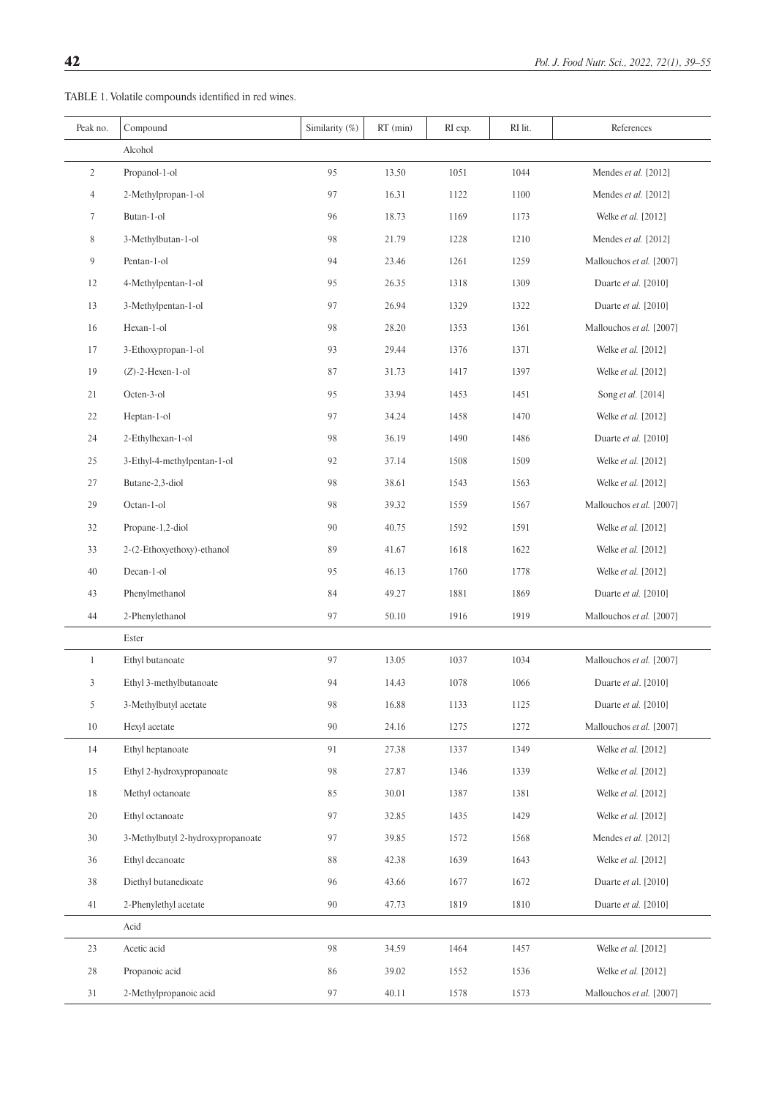<span id="page-3-0"></span>TABLE 1. Volatile compounds identified in red wines.

| Peak no.        | Compound                          | Similarity (%) | $RT$ (min) | RI exp. | RI lit. | References               |
|-----------------|-----------------------------------|----------------|------------|---------|---------|--------------------------|
|                 | Alcohol                           |                |            |         |         |                          |
| $\overline{2}$  | Propanol-1-ol                     | 95             | 13.50      | 1051    | 1044    | Mendes et al. [2012]     |
| $\overline{4}$  | 2-Methylpropan-1-ol               | 97             | 16.31      | 1122    | 1100    | Mendes et al. [2012]     |
| $7\phantom{.0}$ | Butan-1-ol                        | 96             | 18.73      | 1169    | 1173    | Welke et al. [2012]      |
| 8               | 3-Methylbutan-1-ol                | 98             | 21.79      | 1228    | 1210    | Mendes et al. [2012]     |
| 9               | Pentan-1-ol                       | 94             | 23.46      | 1261    | 1259    | Mallouchos et al. [2007] |
| 12              | 4-Methylpentan-1-ol               | 95             | 26.35      | 1318    | 1309    | Duarte et al. [2010]     |
| 13              | 3-Methylpentan-1-ol               | 97             | 26.94      | 1329    | 1322    | Duarte et al. [2010]     |
| 16              | Hexan-1-ol                        | 98             | 28.20      | 1353    | 1361    | Mallouchos et al. [2007] |
| 17              | 3-Ethoxypropan-1-ol               | 93             | 29.44      | 1376    | 1371    | Welke et al. [2012]      |
| 19              | $(Z)$ -2-Hexen-1-ol               | 87             | 31.73      | 1417    | 1397    | Welke et al. [2012]      |
| 21              | Octen-3-ol                        | 95             | 33.94      | 1453    | 1451    | Song et al. [2014]       |
| $22\,$          | Heptan-1-ol                       | 97             | 34.24      | 1458    | 1470    | Welke et al. [2012]      |
| 24              | 2-Ethylhexan-1-ol                 | 98             | 36.19      | 1490    | 1486    | Duarte et al. [2010]     |
| 25              | 3-Ethyl-4-methylpentan-1-ol       | 92             | 37.14      | 1508    | 1509    | Welke et al. [2012]      |
| 27              | Butane-2,3-diol                   | 98             | 38.61      | 1543    | 1563    | Welke et al. [2012]      |
| 29              | Octan-1-ol                        | 98             | 39.32      | 1559    | 1567    | Mallouchos et al. [2007] |
| 32              | Propane-1,2-diol                  | 90             | 40.75      | 1592    | 1591    | Welke et al. [2012]      |
| 33              | 2-(2-Ethoxyethoxy)-ethanol        | 89             | 41.67      | 1618    | 1622    | Welke et al. [2012]      |
| 40              | Decan-1-ol                        | 95             | 46.13      | 1760    | 1778    | Welke et al. [2012]      |
| 43              | Phenylmethanol                    | 84             | 49.27      | 1881    | 1869    | Duarte et al. [2010]     |
| 44              | 2-Phenylethanol                   | 97             | 50.10      | 1916    | 1919    | Mallouchos et al. [2007] |
|                 | Ester                             |                |            |         |         |                          |
| $\mathbf{1}$    | Ethyl butanoate                   | 97             | 13.05      | 1037    | 1034    | Mallouchos et al. [2007] |
| 3               | Ethyl 3-methylbutanoate           | 94             | 14.43      | 1078    | 1066    | Duarte et al. [2010]     |
| 5               | 3-Methylbutyl acetate             | 98             | 16.88      | 1133    | 1125    | Duarte et al. [2010]     |
| 10              | Hexyl acetate                     | 90             | 24.16      | 1275    | 1272    | Mallouchos et al. [2007] |
| 14              | Ethyl heptanoate                  | 91             | 27.38      | 1337    | 1349    | Welke et al. [2012]      |
| 15              | Ethyl 2-hydroxypropanoate         | 98             | 27.87      | 1346    | 1339    | Welke et al. [2012]      |
| 18              | Methyl octanoate                  | 85             | 30.01      | 1387    | 1381    | Welke et al. [2012]      |
| 20              | Ethyl octanoate                   | 97             | 32.85      | 1435    | 1429    | Welke et al. [2012]      |
| 30              | 3-Methylbutyl 2-hydroxypropanoate | 97             | 39.85      | 1572    | 1568    | Mendes et al. [2012]     |
| 36              | Ethyl decanoate                   | 88             | 42.38      | 1639    | 1643    | Welke et al. [2012]      |
| 38              | Diethyl butanedioate              | 96             | 43.66      | 1677    | 1672    | Duarte et al. [2010]     |
| 41              | 2-Phenylethyl acetate             | 90             | 47.73      | 1819    | 1810    | Duarte et al. [2010]     |
|                 | Acid                              |                |            |         |         |                          |
| 23              | Acetic acid                       | 98             | 34.59      | 1464    | 1457    | Welke et al. [2012]      |
| 28              | Propanoic acid                    | 86             | 39.02      | 1552    | 1536    | Welke et al. [2012]      |
| 31              | 2-Methylpropanoic acid            | 97             | 40.11      | 1578    | 1573    | Mallouchos et al. [2007] |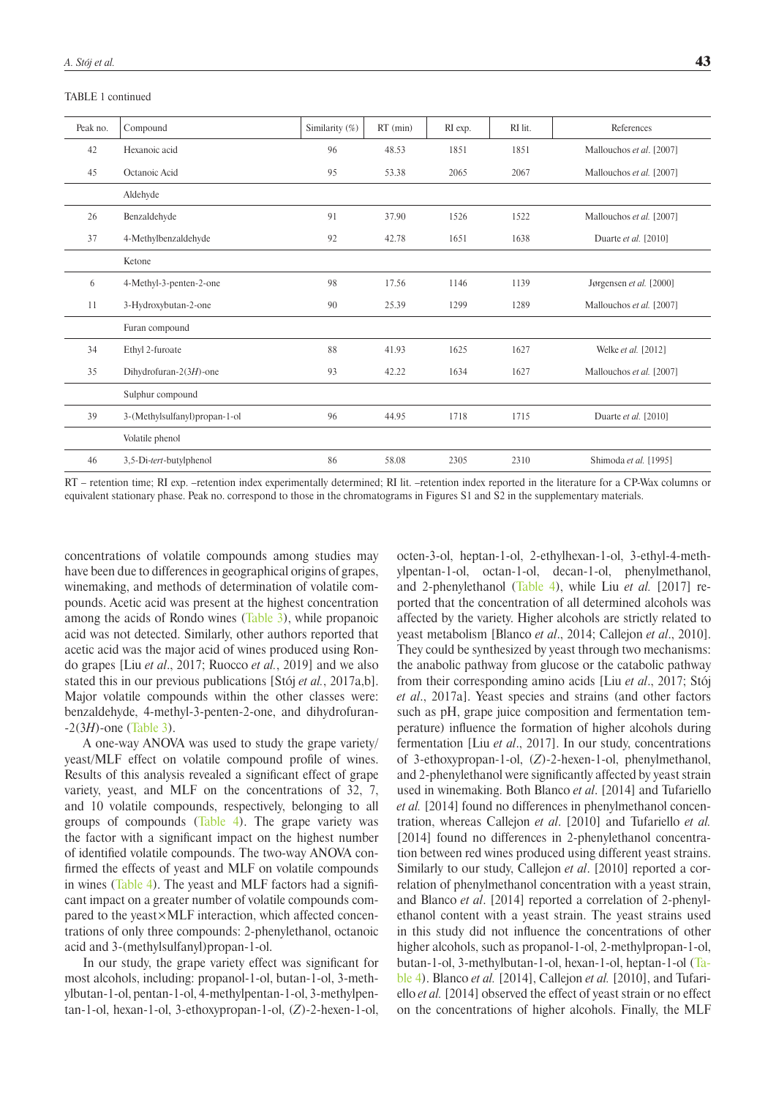TABLE 1 continued

| Peak no. | Compound                      | Similarity (%) | $RT$ (min) | RI exp. | RI lit. | References               |
|----------|-------------------------------|----------------|------------|---------|---------|--------------------------|
| 42       | Hexanoic acid                 | 96             | 48.53      | 1851    | 1851    | Mallouchos et al. [2007] |
| 45       | Octanoic Acid                 | 95             | 53.38      | 2065    | 2067    | Mallouchos et al. [2007] |
|          | Aldehyde                      |                |            |         |         |                          |
| 26       | Benzaldehyde                  | 91             | 37.90      | 1526    | 1522    | Mallouchos et al. [2007] |
| 37       | 4-Methylbenzaldehyde          | 92             | 42.78      | 1651    | 1638    | Duarte et al. [2010]     |
|          | Ketone                        |                |            |         |         |                          |
| 6        | 4-Methyl-3-penten-2-one       | 98             | 17.56      | 1146    | 1139    | Jørgensen et al. [2000]  |
| 11       | 3-Hydroxybutan-2-one          | 90             | 25.39      | 1299    | 1289    | Mallouchos et al. [2007] |
|          | Furan compound                |                |            |         |         |                          |
| 34       | Ethyl 2-furoate               | 88             | 41.93      | 1625    | 1627    | Welke et al. [2012]      |
| 35       | Dihydrofuran-2(3H)-one        | 93             | 42.22      | 1634    | 1627    | Mallouchos et al. [2007] |
|          | Sulphur compound              |                |            |         |         |                          |
| 39       | 3-(Methylsulfanyl)propan-1-ol | 96             | 44.95      | 1718    | 1715    | Duarte et al. [2010]     |
|          | Volatile phenol               |                |            |         |         |                          |
| 46       | 3,5-Di-tert-butylphenol       | 86             | 58.08      | 2305    | 2310    | Shimoda et al. [1995]    |

RT – retention time; RI exp. –retention index experimentally determined; RI lit. –retention index reported in the literature for a CP-Wax columns or equivalent stationary phase. Peak no. correspond to those in the chromatograms in Figures S1 and S2 in the supplementary materials.

concentrations of volatile compounds among studies may have been due to differences in geographical origins of grapes, winemaking, and methods of determination of volatile compounds. Acetic acid was present at the highest concentration among the acids of Rondo wines [\(Table 3](#page-7-0)), while propanoic acid was not detected. Similarly, other authors reported that acetic acid was the major acid of wines produced using Rondo grapes [Liu *et al*., 2017; Ruocco *et al.*, 2019] and we also stated this in our previous publications [Stój *et al.*, 2017a,b]. Major volatile compounds within the other classes were: benzaldehyde, 4-methyl-3-penten-2-one, and dihydrofuran- -2(3*H*)-one ([Table 3](#page-7-0)).

A one-way ANOVA was used to study the grape variety/ yeast/MLF effect on volatile compound profile of wines. Results of this analysis revealed a significant effect of grape variety, yeast, and MLF on the concentrations of 32, 7, and 10 volatile compounds, respectively, belonging to all groups of compounds ([Table 4\)](#page-9-0). The grape variety was the factor with a significant impact on the highest number of identified volatile compounds. The two-way ANOVA confirmed the effects of yeast and MLF on volatile compounds in wines [\(Table 4](#page-9-0)). The yeast and MLF factors had a significant impact on a greater number of volatile compounds compared to the yeast×MLF interaction, which affected concentrations of only three compounds: 2-phenylethanol, octanoic acid and 3-(methylsulfanyl)propan-1-ol.

In our study, the grape variety effect was significant for most alcohols, including: propanol-1-ol, butan-1-ol, 3-methylbutan-1-ol, pentan-1-ol, 4-methylpentan-1-ol, 3-methylpentan-1-ol, hexan-1-ol, 3-ethoxypropan-1-ol, (*Z*)-2-hexen-1-ol,

octen-3-ol, heptan-1-ol, 2-ethylhexan-1-ol, 3-ethyl-4-methylpentan-1-ol, octan-1-ol, decan-1-ol, phenylmethanol, and 2-phenylethanol [\(Table 4](#page-9-0)), while Liu *et al.* [2017] reported that the concentration of all determined alcohols was affected by the variety. Higher alcohols are strictly related to yeast metabolism [Blanco *et al*., 2014; Callejon *et al*., 2010]. They could be synthesized by yeast through two mechanisms: the anabolic pathway from glucose or the catabolic pathway from their corresponding amino acids [Liu *et al*., 2017; Stój *et al*., 2017a]. Yeast species and strains (and other factors such as pH, grape juice composition and fermentation temperature) influence the formation of higher alcohols during fermentation [Liu *et al*., 2017]. In our study, concentrations of 3-ethoxypropan-1-ol, (*Z*)-2-hexen-1-ol, phenylmethanol, and 2-phenylethanol were significantly affected by yeast strain used in winemaking. Both Blanco *et al*. [2014] and Tufariello *et al.* [2014] found no differences in phenylmethanol concentration, whereas Callejon *et al*. [2010] and Tufariello *et al.* [2014] found no differences in 2-phenylethanol concentration between red wines produced using different yeast strains. Similarly to our study, Callejon *et al*. [2010] reported a correlation of phenylmethanol concentration with a yeast strain, and Blanco *et al*. [2014] reported a correlation of 2-phenylethanol content with a yeast strain. The yeast strains used in this study did not influence the concentrations of other higher alcohols, such as propanol-1-ol, 2-methylpropan-1-ol, butan-1-ol, 3-methylbutan-1-ol, hexan-1-ol, heptan-1-ol ([Ta](#page-9-0)[ble 4\)](#page-9-0). Blanco *et al.* [2014], Callejon *et al.* [2010], and Tufariello *et al.* [2014] observed the effect of yeast strain or no effect on the concentrations of higher alcohols. Finally, the MLF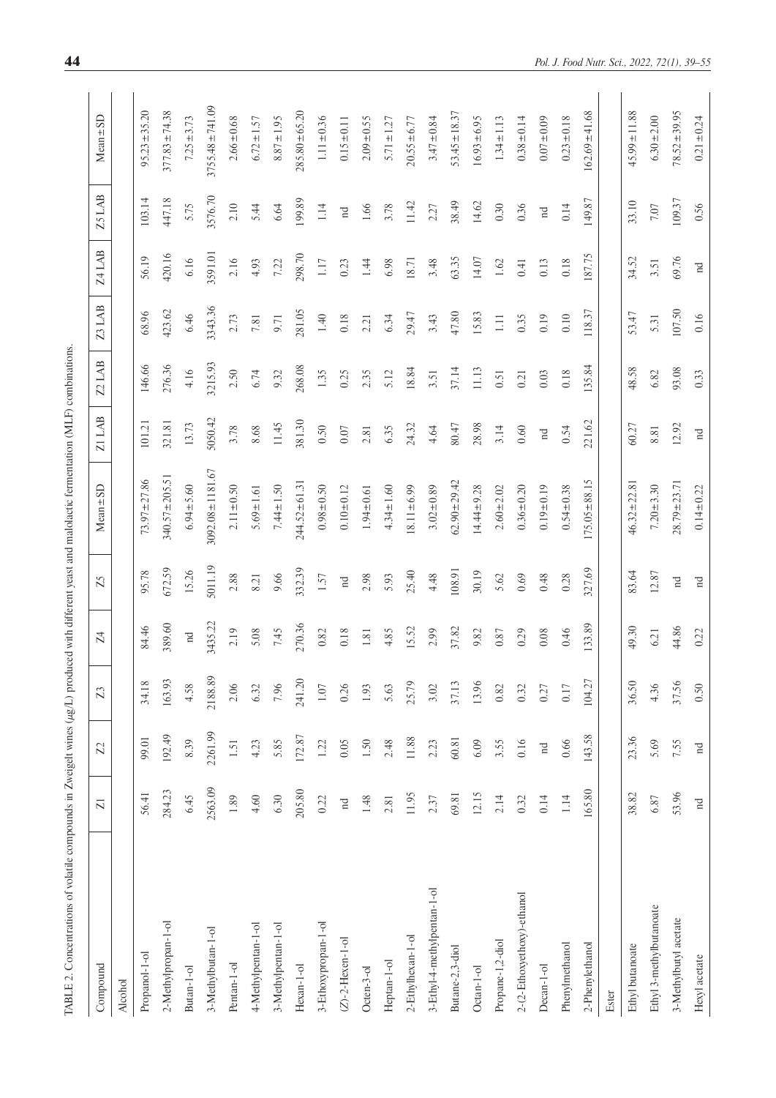<span id="page-5-0"></span>

| i<br>j                                                                 |
|------------------------------------------------------------------------|
|                                                                        |
| ֢֖֖֖֖֪ׅׅ֪ׅ֖ׅ֖֪ׅ֧֪ׅ֚֚֚֚֚֚֚֚֚֚֚֚֚֚֚֚֚֬֕֝֝֝֝֝֓֝֬֝֝֓֓֬֝֬֝֓֞֝֬֓֞֬<br>1<br>Ċ |
|                                                                        |
| Ï                                                                      |
|                                                                        |
| $\overline{1}$                                                         |
| $\ddot{\phantom{a}}$<br>j<br>j<br>֦֧֦֧֦֧֦֧֦֢֧֦֧֢֛֦֧֦֧֚֚֚֚֚֚֬֜֓֜֓֡<br>j |
| ֖֖֖֖֢ׅ֖֖֚֚֚֚֚֚֚֚֚֚֚֚֬֝֓<br>ł<br>j<br>έ                                 |
| j<br>$\overline{\phantom{a}}$                                          |
| ï                                                                      |
|                                                                        |
| l<br>į<br>١                                                            |
| j                                                                      |
| WIT<br>j                                                               |
| ţ<br>I<br>í<br>l                                                       |
| j<br>j<br>l<br>Ξ                                                       |
| I                                                                      |
|                                                                        |
| ļ<br>ï<br>i<br>i<br>ļ                                                  |

| Compound                    | $\overline{\Sigma}$                      | $\mathbb{Z}$               | $\mathbb{Z}^3$ | Z <sub>4</sub> | Z5          | $Mean \pm SD$         | $Z1$ LAB    | $Z2$ LAB | Z3 LAB   | <b>Z4 LAB</b> | Z5 LAB                                   | $Mean \pm SD$        |
|-----------------------------|------------------------------------------|----------------------------|----------------|----------------|-------------|-----------------------|-------------|----------|----------|---------------|------------------------------------------|----------------------|
| <b>Alcohol</b>              |                                          |                            |                |                |             |                       |             |          |          |               |                                          |                      |
| Propanol-1-ol               | 56.41                                    | 99.01                      | 34.18          | 84.46          | 95.78       | $73.97 \pm 27.86$     | 101.21      | 146.66   | 68.96    | 56.19         | 103.14                                   | $95.23 \pm 35.20$    |
| 2-Methylpropan-1-ol         | 284.23                                   | 192.49                     | 163.93         | 389.60         | 672.59      | $340.57 \pm 205.5$    | 321.81      | 276.36   | 423.62   | 420.16        | 447.18                                   | $377.83 \pm 74.38$   |
| Butan-1-ol                  | 6.45                                     | 8.39                       | 4.58           | $_{\rm nd}$    | 15.26       | $6.94 + 5.60$         | 13.73       | 4.16     | 6.46     | 6.16          | 5.75                                     | $7.25 \pm 3.73$      |
| 3-Methylbutan-1-ol          | 2563.09                                  | 2261.99                    | 2188.89        | 3435.22        | 5011.19     | $3092.08 \pm 1181.67$ | 5050.42     | 3215.93  | 3343.36  | 3591.01       | 3576.70                                  | $3755.48 \pm 741.09$ |
| Pentan-1-ol                 | $1.89\,$                                 | 1.51                       | 2.06           | 2.19           | 2.88        | $2.11 \pm 0.50$       | 3.78        | 2.50     | 2.73     | 2.16          | 2.10                                     | $2.66 \pm 0.68$      |
| 4-Methylpentan-1-ol         | 4.60                                     | 4.23                       | 6.32           | 5.08           | 8.21        | $5.69 \pm 1.61$       | 8.68        | 6.74     | 7.81     | 4.93          | 5.44                                     | $6.72 \pm 1.57$      |
| 3-Methylpentan-1-ol         | 6.30                                     | 5.85                       | 7.96           | 7.45           | 9.66        | $7.44 \pm 1.50$       | 11.45       | 9.32     | 9.71     | 7.22          | 6.64                                     | $8.87 \pm 1.95$      |
| Hexan-1-ol                  | 205.80                                   | 172.87                     | 241.20         | 270.36         | 332.39      | $244.52 \pm 61.3$     | 381.30      | 268.08   | 281.05   | 298.70        | 199.89                                   | $285.80 \pm 65.20$   |
| 3-Ethoxypropan-1-ol         | 0.22                                     | 1.22                       | $1.07\,$       | 0.82           | 1.57        | $0.98 + 0.50$         | 0.50        | 1.35     | $1.40\,$ | $1.17\,$      | $1.14$                                   | $1.11 \pm 0.36$      |
| $(Z)$ -2-Hexen-1-ol         | $\ensuremath{\mathop{\text{Id}}}\xspace$ | 0.05                       | 0.26           | 0.18           | $\rm _{nd}$ | $0.10 \pm 0.12$       | $0.07\,$    | 0.25     | $0.18\,$ | 0.23          | $\rm _{nd}$                              | $0.15 \pm 0.11$      |
| Octen-3-ol                  | 1.48                                     | 1.50                       | 1.93           | $1.81\,$       | 2.98        | $1.94 \pm 0.61$       | 2.81        | 2.35     | 2.21     | 1.44          | 1.66                                     | $2.09 \pm 0.55$      |
| Heptan-1-ol                 | 2.81                                     | 2.48                       | 5.63           | 4.85           | 5.93        | $4.34 \pm 1.60$       | 6.35        | 5.12     | 6.34     | 6.98          | 3.78                                     | $5.71 \pm 1.27$      |
| 2-Ethylhexan-1-ol           | 11.95                                    | 11.88                      | 25.79          | 15.52          | 25.40       | $18.11 \pm 6.99$      | 24.32       | 18.84    | 29.47    | 18.71         | 11.42                                    | $20.55 \pm 6.77$     |
| 3-Ethyl-4-methylpentan-1-ol | 2.37                                     | 2.23                       | 3.02           | 2.99           | 4.48        | $3.02 \pm 0.89$       | 4.64        | 3.51     | 3.43     | 3.48          | 2.27                                     | $3.47 \pm 0.84$      |
| Butane-2,3-diol             | 69.81                                    | 60.81                      | 37.13          | 37.82          | 108.91      | $62.90 \pm 29.42$     | 80.47       | 37.14    | 47.80    | 63.35         | 38.49                                    | $53.45 \pm 18.37$    |
| Octan-1-ol                  | 12.15                                    | 6.09                       | 13.96          | 9.82           | 30.19       | $14.44 \pm 9.28$      | 28.98       | 11.13    | 15.83    | 14.07         | 14.62                                    | $16.93 \pm 6.95$     |
| Propane-1,2-diol            | 2.14                                     | 3.55                       | 0.82           | $0.87\,$       | 5.62        | $2.60 + 2.02$         | 3.14        | 0.51     | $1.11\,$ | $1.62\,$      | 0.30                                     | $1.34 \pm 1.13$      |
| 2-(2-Ethoxyethoxy)-ethanol  | 0.32                                     | 0.16                       | 0.32           | 0.29           | 0.69        | $0.36 \pm 0.20$       | 0.60        | 0.21     | 0.35     | 0.41          | 0.36                                     | $0.38 \pm 0.14$      |
| Decan-1-ol                  | 0.14                                     | $\mathop{\rm nd}\nolimits$ | 0.27           | 0.08           | 0.48        | $0.19 \pm 0.19$       | $\rm _{nd}$ | 0.03     | 0.19     | 0.13          | $\ensuremath{\mathop{\text{Id}}}\xspace$ | $0.07 + 0.09$        |
| Phenylmethanol              | 1.14                                     | 0.66                       | 0.17           | 0.46           | 0.28        | $0.54 \pm 0.38$       | 0.54        | 0.18     | 0.10     | 0.18          | 0.14                                     | $0.23 \pm 0.18$      |
| 2-Phenylethanol             | 165.80                                   | 143.58                     | 104.27         | 133.89         | 327.69      | $175.05 \pm 88.15$    | 221.62      | 135.84   | 118.37   | 187.75        | 149.87                                   | $162.69 \pm 41.68$   |
| Ester                       |                                          |                            |                |                |             |                       |             |          |          |               |                                          |                      |
| Ethyl butanoate             | 38.82                                    | 23.36                      | 36.50          | 49.30          | 83.64       | $46.32 \pm 22.8$      | 60.27       | 48.58    | 53.47    | 34.52         | 33.10                                    | $45.99 \pm 11.88$    |
| Ethyl 3-methylbutanoate     | $6.87$                                   | 5.69                       | 4.36           | 6.21           | 12.87       | $7.20 \pm 3.30$       | $8.81\,$    | 6.82     | 5.31     | 3.51          | $7.07\,$                                 | $6.30 \pm 2.00$      |
| 3-Methylbutyl acetate       | 53.96                                    | 7.55                       | 37.56          | 44.86          | $_{\rm nd}$ | $28.79 \pm 23.71$     | 12.92       | 93.08    | 107.50   | 69.76         | 109.37                                   | $78.52 \pm 39.95$    |
| Hexyl acetate               | $\rm _{nd}$                              | $\mathop{\rm nd}\nolimits$ | 0.50           | 0.22           | $\rm ^n$    | $0.14 \pm 0.22$       | $\rm _H$    | 0.33     | 0.16     | $\rm ^n$      | 0.56                                     | $0.21 \pm 0.24$      |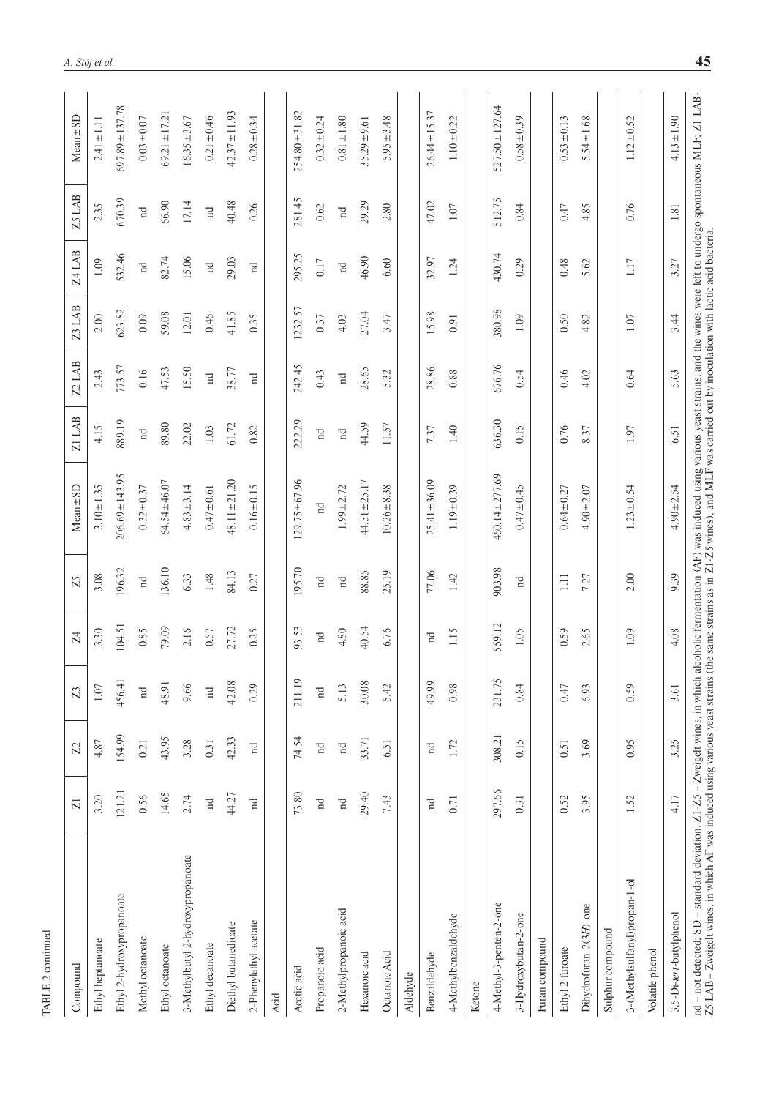|                                                                                                                                                                                                                                                                                                                                                                                                      | $\overline{Z}$ | Z           | 23          | $\overline{Z}$ | Z5                         | $Mean \pm SD$       | <b>Z1LAB</b> | $Z2$ LAB    | Z3 LAB  | Z4 LAB                     | <b>Z5 LAB</b> | $Mean \pm SD$       |
|------------------------------------------------------------------------------------------------------------------------------------------------------------------------------------------------------------------------------------------------------------------------------------------------------------------------------------------------------------------------------------------------------|----------------|-------------|-------------|----------------|----------------------------|---------------------|--------------|-------------|---------|----------------------------|---------------|---------------------|
| Compound                                                                                                                                                                                                                                                                                                                                                                                             |                |             |             |                |                            |                     |              |             |         |                            |               |                     |
| Ethyl heptanoate                                                                                                                                                                                                                                                                                                                                                                                     | 3.20           | 4.87        | $1.07\,$    | 3.30           | 3.08                       | $3.10 \pm 1.35$     | 4.15         | 2.43        | $2.00$  | $1.09\,$                   | 2.35          | $2.41 \pm 1.11$     |
| Ethyl 2-hydroxypropanoate                                                                                                                                                                                                                                                                                                                                                                            | 121.21         | 154.99      | 456.41      | 104.51         | 196.32                     | $206.69 \pm 143.95$ | 889.19       | 773.57      | 623.82  | 532.46                     | 670.39        | $697.89 \pm 137.78$ |
| Methyl octanoate                                                                                                                                                                                                                                                                                                                                                                                     | 0.56           | 0.21        | $\rm _{nd}$ | 0.85           | $\mathop{\rm nd}\nolimits$ | $0.32 \pm 0.37$     | $\rm _{nd}$  | 0.16        | $0.09$  | nd                         | $\rm _{nd}$   | $0.03 + 0.07$       |
| Ethyl octanoate                                                                                                                                                                                                                                                                                                                                                                                      | 14.65          | 43.95       | 48.91       | 79.09          | 136.10                     | $64.54 \pm 46.07$   | 89.80        | 47.53       | 59.08   | 82.74                      | 66.90         | $69.21 \pm 17.21$   |
| 3-Methylbutyl 2-hydroxypropanoate                                                                                                                                                                                                                                                                                                                                                                    | 2.74           | 3.28        | 9.66        | 2.16           | 6.33                       | $4.83 \pm 3.14$     | 22.02        | 15.50       | 12.01   | 15.06                      | 17.14         | $16.35 \pm 3.67$    |
| Ethyl decanoate                                                                                                                                                                                                                                                                                                                                                                                      | $_{\rm nd}$    | 0.31        | $_{\rm nd}$ | 0.57           | 1.48                       | $0.47 \pm 0.61$     | 1.03         | $_{\rm nd}$ | 0.46    | $_{\rm nd}$                | $_{\rm nd}$   | $0.21 \pm 0.46$     |
| Diethyl butanedioate                                                                                                                                                                                                                                                                                                                                                                                 | 44.27          | 42.33       | 42.08       | 27.72          | 84.13                      | $48.11 \pm 21.20$   | 61.72        | 38.77       | 41.85   | 29.03                      | 40.48         | $42.37 \pm 11.93$   |
| 2-Phenylethyl acetate                                                                                                                                                                                                                                                                                                                                                                                | $_{\rm nd}$    | $_{\rm nd}$ | 0.29        | 0.25           | 0.27                       | $0.16 \pm 0.15$     | 0.82         | $_{\rm nd}$ | 0.35    | $_{\rm nd}$                | 0.26          | $0.28 \pm 0.34$     |
| Acid                                                                                                                                                                                                                                                                                                                                                                                                 |                |             |             |                |                            |                     |              |             |         |                            |               |                     |
| Acetic acid                                                                                                                                                                                                                                                                                                                                                                                          | 73.80          | 74.54       | 211.19      | 93.53          | 195.70                     | $129.75 \pm 67.96$  | 222.29       | 242.45      | 1232.57 | 295.25                     | 281.45        | $254.80 \pm 31.82$  |
| Propanoic acid                                                                                                                                                                                                                                                                                                                                                                                       | $_{\rm nd}$    | $\rm ^n$    | $_{\rm nd}$ | $_{\rm nd}$    | $\rm ^n$                   | $_{\rm nd}$         | $_{\rm nd}$  | 0.43        | 0.37    | 0.17                       | 0.62          | $0.32 \pm 0.24$     |
| 2-Methylpropanoic acid                                                                                                                                                                                                                                                                                                                                                                               | $\rm _{nd}$    | $_{\rm nd}$ | 5.13        | 4.80           | $\mathbf{n} \mathbf{d}$    | $1.99 \pm 2.72$     | $\rm _{nd}$  | $\rm nd$    | 4.03    | $\mathop{\rm nd}\nolimits$ | $\rm _{nd}$   | $0.81 \pm 1.80$     |
| Hexanoic acid                                                                                                                                                                                                                                                                                                                                                                                        | 29.40          | 33.71       | 30.08       | 40.54          | 88.85                      | $44.51 \pm 25.17$   | 44.59        | 28.65       | 27.04   | 46.90                      | 29.29         | $35.29 \pm 9.61$    |
| Octanoic Acid                                                                                                                                                                                                                                                                                                                                                                                        | 7.43           | 6.51        | 5.42        | 6.76           | 25.19                      | $10.26 \pm 8.38$    | 11.57        | 5.32        | 3.47    | 6.60                       | 2.80          | $5.95 \pm 3.48$     |
| Aldehyde                                                                                                                                                                                                                                                                                                                                                                                             |                |             |             |                |                            |                     |              |             |         |                            |               |                     |
| Benzaldehyde                                                                                                                                                                                                                                                                                                                                                                                         | E              | $_{\rm nd}$ | 49.99       | Ĕ              | 77.06                      | $25.41 \pm 36.09$   | 7.37         | 28.86       | 15.98   | 32.97                      | 47.02         | $26.44 \pm 15.37$   |
| 4-Methylbenzaldehyde                                                                                                                                                                                                                                                                                                                                                                                 | 0.71           | 1.72        | 0.98        | 1.15           | 1.42                       | $1.19 \pm 0.39$     | 1.40         | $0.88\,$    | 0.91    | 1.24                       | $1.07\,$      | $1.10 \pm 0.22$     |
| Ketone                                                                                                                                                                                                                                                                                                                                                                                               |                |             |             |                |                            |                     |              |             |         |                            |               |                     |
| 4-Methyl-3-penten-2-one                                                                                                                                                                                                                                                                                                                                                                              | 297.66         | 308.21      | 231.75      | 559.12         | 903.98                     | $460.14 \pm 277.69$ | 636.30       | 676.76      | 380.98  | 430.74                     | 512.75        | $527.50 \pm 127.64$ |
| 3-Hydroxybutan-2-one                                                                                                                                                                                                                                                                                                                                                                                 | 0.31           | 0.15        | 0.84        | 1.05           | $_{\rm nd}$                | $0.47 + 0.45$       | 0.15         | 0.54        | 1.09    | 0.29                       | 0.84          | $0.58 + 0.39$       |
| Furan compound                                                                                                                                                                                                                                                                                                                                                                                       |                |             |             |                |                            |                     |              |             |         |                            |               |                     |
| Ethyl 2-furoate                                                                                                                                                                                                                                                                                                                                                                                      | 0.52           | 0.51        | 0.47        | 0.59           | $\Box$                     | $0.64 \pm 0.27$     | 0.76         | 0.46        | 0.50    | 0.48                       | 0.47          | $0.53 \pm 0.13$     |
| Dihydrofuran-2(3H)-one                                                                                                                                                                                                                                                                                                                                                                               | 3.95           | 3.69        | 6.93        | 2.65           | 7.27                       | $4.90 \pm 2.07$     | 8.37         | 4.02        | 4.82    | 5.62                       | 4.85          | $5.54 \pm 1.68$     |
| Sulphur compound                                                                                                                                                                                                                                                                                                                                                                                     |                |             |             |                |                            |                     |              |             |         |                            |               |                     |
| 3-(Methylsulfanyl)propan-1-ol                                                                                                                                                                                                                                                                                                                                                                        | 1.52           | 0.95        | 0.59        | 1.09           | 2.00                       | $1.23 \pm 0.54$     | 1.97         | 0.64        | 1.07    | 1.17                       | 0.76          | 52<br>$1.12 \pm 0.$ |
| Volatile phenol                                                                                                                                                                                                                                                                                                                                                                                      |                |             |             |                |                            |                     |              |             |         |                            |               |                     |
| 3,5-Di-tert-butylphenol                                                                                                                                                                                                                                                                                                                                                                              | 4.17           | 3.25        | 3.61        | 4.08           | 9.39                       | $4.90 \pm 2.54$     | 6.51         | 5.63        | 3.44    | 3.27                       | 1.81          | $4.13 \pm 1.90$     |
| nd - not detected; SD - standard deviation. Z1-Z5 - Zweigelt wines, in which alcoholic fermentation (AF) was induced using various yeast strains, and the wines were left to undergo spontaneous MLF; Z1 LAB<br>Z5 LAB - Zweigelt wines, in which AF was induced using various yeast strains (the same strains as in Z1-Z5 wines), and MLF was carried out by inoculation with lactic acid bacteria. |                |             |             |                |                            |                     |              |             |         |                            |               |                     |

TABLE 2 continued

TABLE 2 continued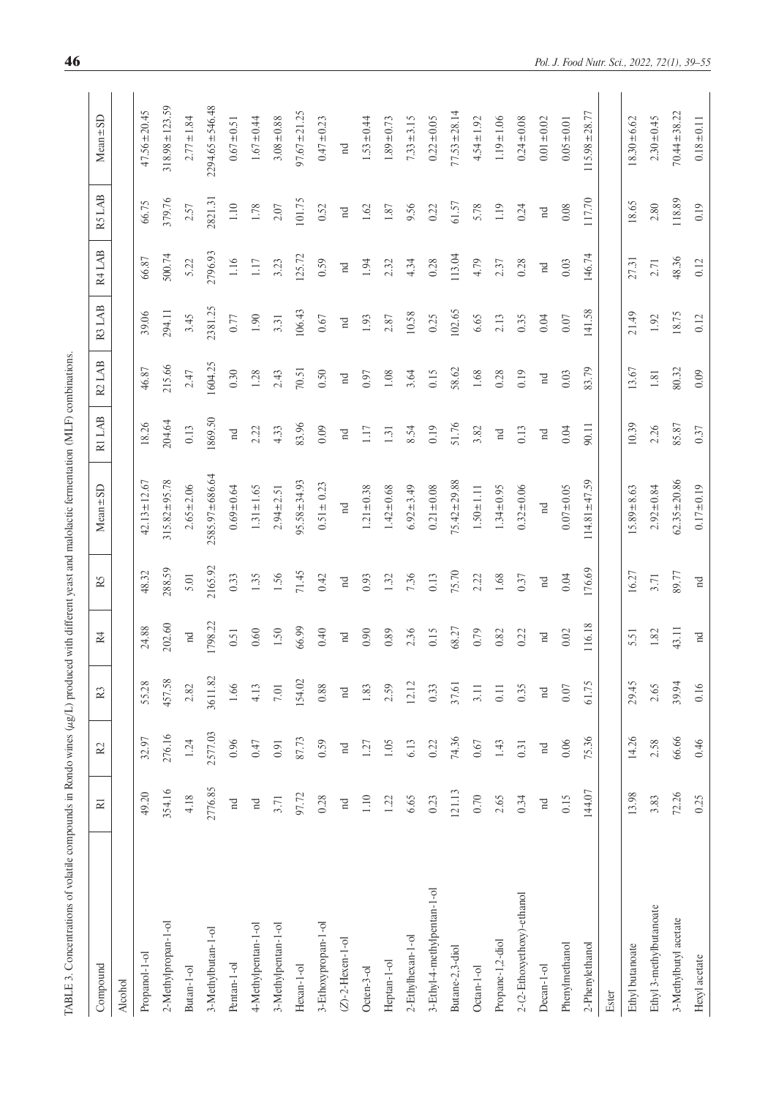<span id="page-7-0"></span>

| $\overline{\phantom{a}}$<br>j                               |  |
|-------------------------------------------------------------|--|
| j<br>Ş                                                      |  |
|                                                             |  |
|                                                             |  |
| Ì                                                           |  |
| ׇ֠<br>ׇ֚֘֝֕                                                 |  |
| l                                                           |  |
|                                                             |  |
|                                                             |  |
|                                                             |  |
| i                                                           |  |
| į                                                           |  |
| $\mathbf$<br><b>C</b><br>ł                                  |  |
|                                                             |  |
|                                                             |  |
| ī<br>i                                                      |  |
| ï                                                           |  |
| ï                                                           |  |
| ֖֖֖֖֖֖֖֖֖֖֧ׅ֖ׅ֖֖֧ׅ֖֖֖֖֖֖֖֧֚֚֚֚֚֚֚֚֚֚֚֚֚֚֚֚֚֚֚֚֚֚֚֚֚֚֚֚֬֝֝֝֝ |  |
|                                                             |  |
| j                                                           |  |
| ł                                                           |  |
| ě<br>É                                                      |  |
| í<br>Ξ                                                      |  |
| ţ                                                           |  |
| l<br>ē                                                      |  |
| i<br>j                                                      |  |
| i<br>ĺ<br>Ē<br>I                                            |  |
|                                                             |  |
| j<br>l<br>ļ<br>i                                            |  |
| i<br>ļ<br>I                                                 |  |
| ⊟                                                           |  |
| l<br>i                                                      |  |
| $-1.1$                                                      |  |
| ţ<br>i                                                      |  |
|                                                             |  |
| ≅<br>I                                                      |  |
| i<br>Ï<br>¢                                                 |  |
|                                                             |  |
|                                                             |  |
| Ó<br>Ļ                                                      |  |
| j                                                           |  |
| j<br>Ï                                                      |  |
| š<br>l                                                      |  |
|                                                             |  |
| ļ                                                           |  |
|                                                             |  |

| IABLE 3. Concentrations of volatile compounds in Rondo wines (ug/L) produced with different yeast and malolactic fermentation (MLF) combinations |                       |                |                |                       |             |                    |             |             |             |             |                                          |                      |
|--------------------------------------------------------------------------------------------------------------------------------------------------|-----------------------|----------------|----------------|-----------------------|-------------|--------------------|-------------|-------------|-------------|-------------|------------------------------------------|----------------------|
| Compound                                                                                                                                         | $\overline{\text{R}}$ | R <sup>2</sup> | R <sub>3</sub> | $\mathbb{R}^4$        | R5          | $Mean \pm SD$      | RI LAB      | R2LAB       | R3 LAB      | R4 LAB      | RS LAB                                   | $Mean \pm SD$        |
| <b>Alcohol</b>                                                                                                                                   |                       |                |                |                       |             |                    |             |             |             |             |                                          |                      |
| Propanol-1-ol                                                                                                                                    | 49.20                 | 32.97          | 55.28          | 24.88                 | 48.32       | $42.13 \pm 12.67$  | 18.26       | 46.87       | 39.06       | 66.87       | 66.75                                    | $47.56 \pm 20.45$    |
| 2-Methylpropan-1-ol                                                                                                                              | 354.16                | 276.16         | 457.58         | 202.60                | 288.59      | $315.82 \pm 95.78$ | 204.64      | 215.66      | 294.11      | 500.74      | 379.76                                   | $318.98 \pm 123.59$  |
| Butan-1-ol                                                                                                                                       | 4.18                  | 1.24           | 2.82           | $\,\operatorname{Id}$ | 5.01        | $2.65 \pm 2.06$    | 0.13        | 2.47        | 3.45        | 5.22        | 2.57                                     | $2.77 \pm 1.84$      |
| 3-Methylbutan-1-ol                                                                                                                               | 2776.85               | 2577.03        | 3611.82        | 1798.22               | 2165.92     | 2585.97±686.64     | 1869.50     | 1604.25     | 2381.25     | 2796.93     | 2821.31                                  | $2294.65 \pm 546.48$ |
| Pentan-1-ol                                                                                                                                      | $\rm _{nd}$           | 0.96           | 1.66           | 0.51                  | 0.33        | $0.69 \pm 0.64$    | $\rm _{nd}$ | 0.30        | $0.77\,$    | 1.16        | 1.10                                     | $0.67 \pm 0.51$      |
| 4-Methylpentan-1-ol                                                                                                                              | $_{\rm nd}$           | 0.47           | 4.13           | 0.60                  | 1.35        | $1.31 \pm 1.65$    | 2.22        | 1.28        | 1.90        | $1.17\,$    | 1.78                                     | $1.67 + 0.44$        |
| 3-Methylpentan-1-ol                                                                                                                              | 3.71                  | 0.91           | $7.01\,$       | 1.50                  | 1.56        | $2.94 \pm 2.51$    | 4.33        | 2.43        | 3.31        | 3.23        | $2.07$                                   | $3.08 + 0.88$        |
| Hexan-1-ol                                                                                                                                       | 97.72                 | 87.73          | 154.02         | 66.99                 | 71.45       | $95.58 \pm 34.93$  | 83.96       | 70.51       | 106.43      | 125.72      | 101.75                                   | $97.67 \pm 21.25$    |
| 3-Ethoxypropan-1-ol                                                                                                                              | 0.28                  | 0.59           | 0.88           | 0.40                  | 0.42        | $0.51 \pm 0.23$    | 0.09        | 0.50        | $0.67\,$    | 0.59        | 0.52                                     | $0.47 \pm 0.23$      |
| $(Z)$ -2-Hexen-1-ol                                                                                                                              | $\rm _{nd}$           | $\rm _{nd}$    | $\mathbf{p}$   | $\rm _{nd}$           | nd          | $\rm _{nd}$        | $\rm _{nd}$ | $\rm _{nd}$ | $\rm _{nd}$ | $\rm nd$    | $\ensuremath{\mathop{\text{Id}}}\xspace$ | $\rm _H$             |
| Octen-3-ol                                                                                                                                       | $1.10\,$              | 1.27           | 1.83           | 0.90                  | 0.93        | $1.21 \pm 0.38$    | 1.17        | 0.97        | $1.93\,$    | 1.94        | 1.62                                     | $1.53 \pm 0.44$      |
| Heptan-1-ol                                                                                                                                      | 1.22                  | $1.05$         | 2.59           | 0.89                  | 1.32        | $1.42 \pm 0.68$    | 1.31        | $1.08\,$    | 2.87        | 2.32        | 1.87                                     | $1.89 \pm 0.73$      |
| 2-Ethylhexan-1-ol                                                                                                                                | 6.65                  | 6.13           | 12.12          | 2.36                  | 7.36        | $6.92 \pm 3.49$    | 8.54        | 3.64        | 10.58       | 4.34        | 9.56                                     | $7.33 \pm 3.15$      |
| 3-Ethyl-4-methylpentan-1-ol                                                                                                                      | 0.23                  | 0.22           | 0.33           | 0.15                  | 0.13        | $0.21 \pm 0.08$    | 0.19        | 0.15        | 0.25        | 0.28        | 0.22                                     | $0.22 \pm 0.05$      |
| Butane-2,3-diol                                                                                                                                  | 121.13                | 74.36          | 37.61          | 68.27                 | 75.70       | $75.42 \pm 29.88$  | 51.76       | 58.62       | 102.65      | 113.04      | 61.57                                    | $77.53 \pm 28.14$    |
| Octan-1-ol                                                                                                                                       | $0.70$                | $0.67$         | 3.11           | 0.79                  | 2.22        | $1.50 \pm 1.11$    | 3.82        | 1.68        | 6.65        | 4.79        | 5.78                                     | $4.54 \pm 1.92$      |
| Propane-1,2-diol                                                                                                                                 | 2.65                  | 1.43           | 0.11           | 0.82                  | 1.68        | $1.34 \pm 0.95$    | $\rm _{nd}$ | 0.28        | 2.13        | 2.37        | 1.19                                     | $1.19 \pm 1.06$      |
| 2-(2-Ethoxyethoxy)-ethanol                                                                                                                       | 0.34                  | 0.31           | 0.35           | 0.22                  | 0.37        | $0.32 \pm 0.06$    | 0.13        | 0.19        | 0.35        | 0.28        | 0.24                                     | $0.24 \pm 0.08$      |
| Decan-1-ol                                                                                                                                       | $\rm _{nd}$           | $\rm _{nd}$    | $\rm _{nd}$    | $\rm _{nd}$           | $\rm _{nd}$ | $\rm _{nd}$        | $\rm _H$    | $\rm _{nd}$ | $0.04\,$    | $\rm _{nd}$ | $\rm _{nd}$                              | $0.01 \pm 0.02$      |
| Phenylmethanol                                                                                                                                   | 0.15                  | $0.06$         | $0.07\,$       | 0.02                  | 0.04        | $0.07 \pm 0.05$    | 0.04        | 0.03        | $0.07\,$    | 0.03        | $0.08\,$                                 | $0.05 \pm 0.01$      |
| 2-Phenylethanol                                                                                                                                  | 144.07                | 75.36          | 61.75          | 116.18                | 176.69      | $114.81 \pm 47.59$ | 90.11       | 83.79       | 141.58      | 146.74      | 117.70                                   | $115.98 \pm 28.77$   |
| Ester                                                                                                                                            |                       |                |                |                       |             |                    |             |             |             |             |                                          |                      |
| Ethyl butanoate                                                                                                                                  | 13.98                 | 14.26          | 29.45          | 5.51                  | 16.27       | $15.89 \pm 8.63$   | 10.39       | 13.67       | 21.49       | 27.31       | 18.65                                    | $18.30 \pm 6.62$     |
| Ethyl 3-methylbutanoate                                                                                                                          | 3.83                  | 2.58           | 2.65           | 1.82                  | 3.71        | $2.92 \pm 0.84$    | 2.26        | $1.81\,$    | 1.92        | 2.71        | 2.80                                     | $2.30 \pm 0.45$      |
| 3-Methylbutyl acetate                                                                                                                            | 72.26                 | 66.66          | 39.94          | 43.11                 | 89.77       | $62.35 \pm 20.86$  | 85.87       | 80.32       | 18.75       | 48.36       | 118.89                                   | $70.44 \pm 38.22$    |
| Hexyl acetate                                                                                                                                    | 0.25                  | 0.46           | 0.16           | $_{\rm nd}$           | $\rm nd$    | $0.17 + 0.19$      | 0.37        | 0.09        | 0.12        | 0.12        | 0.19                                     | $0.18 \pm 0.11$      |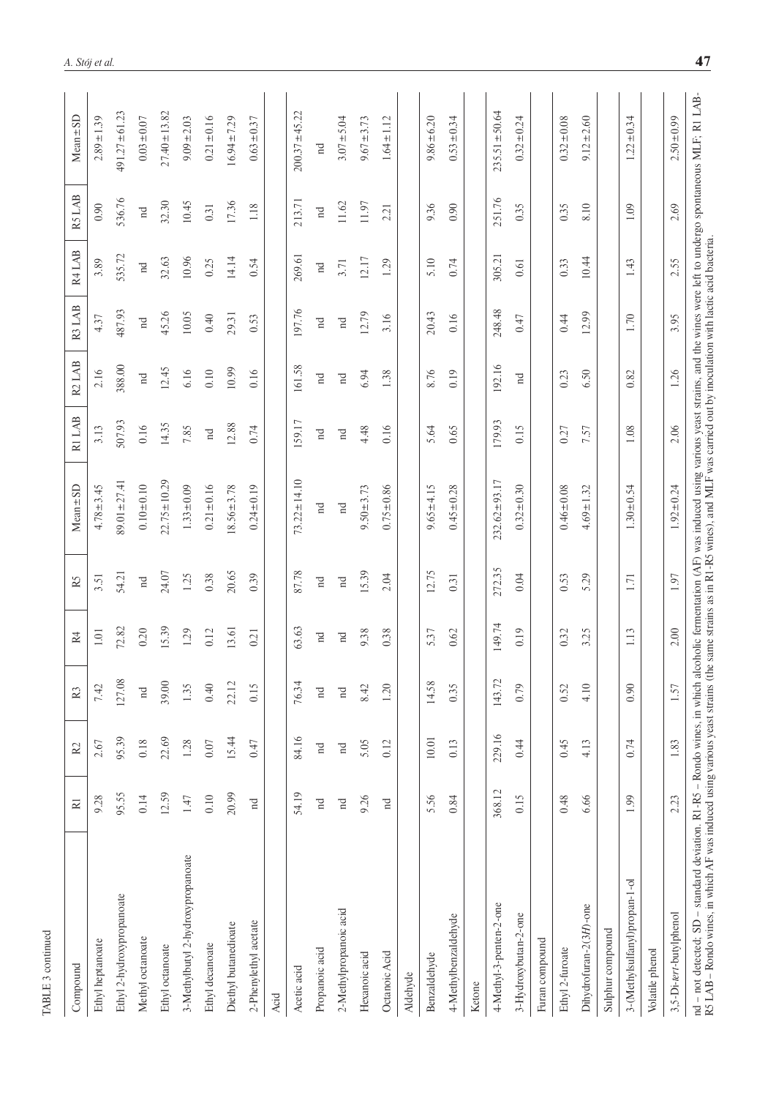| Compound                                                                                                                                                                                                                                                                                                                                                                                       | $\overline{R}$ | $\approx$ | R <sub>3</sub>          | R4          | R5                         | $Mean \pm SD$      | R1 LAB      | R2 LAB      | R3 LAB                  | R4 LAB   | R5 LAB      | $Mean \pm SD$      |
|------------------------------------------------------------------------------------------------------------------------------------------------------------------------------------------------------------------------------------------------------------------------------------------------------------------------------------------------------------------------------------------------|----------------|-----------|-------------------------|-------------|----------------------------|--------------------|-------------|-------------|-------------------------|----------|-------------|--------------------|
| Ethyl heptanoate                                                                                                                                                                                                                                                                                                                                                                               | 9.28           | 2.67      | 7.42                    | $1.01\,$    | 3.51                       | $4.78 \pm 3.45$    | 3.13        | 2.16        | 4.37                    | 3.89     | 0.90        | $2.89 \pm 1.39$    |
| Ethyl 2-hydroxypropanoate                                                                                                                                                                                                                                                                                                                                                                      | 95.55          | 95.39     | 127.08                  | 72.82       | 54.21                      | $89.01 \pm 27.41$  | 507.93      | 388.00      | 487.93                  | 535.72   | 536.76      | $491.27 \pm 61.23$ |
| Methyl octanoate                                                                                                                                                                                                                                                                                                                                                                               | 0.14           | $0.18\,$  | $\,\operatorname{nd}\,$ | 0.20        | $\mathop{\rm nd}\nolimits$ | $0.10 + 0.10$      | 0.16        | nd          | $\,\operatorname{nd}\,$ | nd       | $\rm nd$    | $0.03 \pm 0.07$    |
| Ethyl octanoate                                                                                                                                                                                                                                                                                                                                                                                | 12.59          | 22.69     | 39.00                   | 15.39       | 24.07                      | $22.75 \pm 10.29$  | 14.35       | 12.45       | 45.26                   | 32.63    | 32.30       | $27.40 \pm 13.82$  |
| 3-Methylbutyl 2-hydroxypropanoate                                                                                                                                                                                                                                                                                                                                                              | $1.47\,$       | 1.28      | 1.35                    | 1.29        | 1.25                       | $1.33 \pm 0.09$    | 7.85        | 6.16        | 10.05                   | 10.96    | 10.45       | $9.09 \pm 2.03$    |
| Ethyl decanoate                                                                                                                                                                                                                                                                                                                                                                                | 0.10           | $0.07$    | 0.40                    | 0.12        | 0.38                       | $0.21 \pm 0.16$    | $\rm _{nd}$ | 0.10        | 0.40                    | 0.25     | 0.31        | $0.21 \pm 0.16$    |
| Diethyl butanedioate                                                                                                                                                                                                                                                                                                                                                                           | 20.99          | 15.44     | 22.12                   | 13.61       | 20.65                      | $8.56 \pm 3.78$    | 12.88       | 10.99       | 29.31                   | 14.14    | 17.36       | $16.94 \pm 7.29$   |
| 2-Phenylethyl acetate                                                                                                                                                                                                                                                                                                                                                                          | $\rm _{nd}$    | 0.47      | 0.15                    | 0.21        | 0.39                       | $0.24 \pm 0.19$    | 0.74        | 0.16        | 0.53                    | 0.54     | 1.18        | $0.63 + 0.37$      |
| Acid                                                                                                                                                                                                                                                                                                                                                                                           |                |           |                         |             |                            |                    |             |             |                         |          |             |                    |
| Acetic acid                                                                                                                                                                                                                                                                                                                                                                                    | 54.19          | 84.16     | 76.34                   | 63.63       | 87.78                      | $73.22 \pm 14.10$  | 159.17      | 161.58      | 197.76                  | 269.61   | 213.71      | $200.37 \pm 45.22$ |
| Propanoic acid                                                                                                                                                                                                                                                                                                                                                                                 | $_{\rm nd}$    | $\rm n d$ | $\rm _{nd}$             | $_{\rm nd}$ | $\rm ^n$                   | $_{\rm nd}$        | $_{\rm nd}$ | $\rm ^n$    | $\rm _{nd}$             | $\rm ^n$ | $\rm _{nd}$ | $\rm _{nd}$        |
| 2-Methylpropanoic acid                                                                                                                                                                                                                                                                                                                                                                         | $\rm _{nd}$    | $\rm nd$  | $\rm _H$                | $\rm _{nd}$ | $\rm _{nd}$                | $\rm _{nd}$        | $\rm _{nd}$ | $\rm nd$    | $\rm _{nd}$             | 3.71     | $11.62\,$   | $3.07 + 5.04$      |
| Hexanoic acid                                                                                                                                                                                                                                                                                                                                                                                  | 9.26           | 5.05      | 8.42                    | 9.38        | 15.39                      | $9.50 \pm 3.73$    | 4.48        | 6.94        | 12.79                   | 12.17    | 11.97       | $9.67 + 3.73$      |
| Octanoic Acid                                                                                                                                                                                                                                                                                                                                                                                  | $_{\rm nd}$    | 0.12      | 1.20                    | 0.38        | 2.04                       | $0.75 \pm 0.86$    | 0.16        | 1.38        | 3.16                    | 1.29     | 2.21        | $1.64 \pm 1.12$    |
| Aldehyde                                                                                                                                                                                                                                                                                                                                                                                       |                |           |                         |             |                            |                    |             |             |                         |          |             |                    |
| Benzaldehyde                                                                                                                                                                                                                                                                                                                                                                                   | 5.56           | 10.01     | 14.58                   | 5.37        | 12.75                      | $9.65 \pm 4.15$    | 5.64        | 8.76        | 20.43                   | 5.10     | 9.36        | $9.86 \pm 6.20$    |
| 4-Methylbenzaldehyde                                                                                                                                                                                                                                                                                                                                                                           | 0.84           | 0.13      | 0.35                    | 0.62        | 0.31                       | $0.45 \pm 0.28$    | 0.65        | 0.19        | 0.16                    | 0.74     | 0.90        | $0.53 \pm 0.34$    |
| Ketone                                                                                                                                                                                                                                                                                                                                                                                         |                |           |                         |             |                            |                    |             |             |                         |          |             |                    |
| 4-Methyl-3-penten-2-one                                                                                                                                                                                                                                                                                                                                                                        | 368.12         | 229.16    | 143.72                  | 149.74      | 272.35                     | $232.62 \pm 93.17$ | 179.93      | 192.16      | 248.48                  | 305.21   | 251.76      | $235.51 \pm 50.64$ |
| 3-Hydroxybutan-2-one                                                                                                                                                                                                                                                                                                                                                                           | 0.15           | 0.44      | 0.79                    | 0.19        | 0.04                       | $0.32 \pm 0.30$    | 0.15        | $_{\rm nd}$ | (1.47)                  | 0.61     | 0.35        | $0.32 \pm 0.24$    |
| Furan compound                                                                                                                                                                                                                                                                                                                                                                                 |                |           |                         |             |                            |                    |             |             |                         |          |             |                    |
| Ethyl 2-furoate                                                                                                                                                                                                                                                                                                                                                                                | 0.48           | 0.45      | 0.52                    | 0.32        | 0.53                       | $0.46 \pm 0.08$    | 0.27        | 0.23        | 0.44                    | 0.33     | 0.35        | $0.32 \pm 0.08$    |
| Dihydrofuran-2(3H)-one                                                                                                                                                                                                                                                                                                                                                                         | 6.66           | 4.13      | 4.10                    | 3.25        | 5.29                       | $4.69 \pm 1.32$    | 7.57        | 6.50        | 12.99                   | 10.44    | 8.10        | $9.12 \pm 2.60$    |
| Sulphur compound                                                                                                                                                                                                                                                                                                                                                                               |                |           |                         |             |                            |                    |             |             |                         |          |             |                    |
| 3-(Methylsulfanyl)propan-1-ol                                                                                                                                                                                                                                                                                                                                                                  | 1.99           | 0.74      | 0.90                    | 1.13        | 1.71                       | $1.30 \pm 0.54$    | $1.08\,$    | 0.82        | 1.70                    | 1.43     | 1.09        | $1.22 \pm 0.34$    |
| Volatile phenol                                                                                                                                                                                                                                                                                                                                                                                |                |           |                         |             |                            |                    |             |             |                         |          |             |                    |
| 3,5-Di-tert-butylphenol                                                                                                                                                                                                                                                                                                                                                                        | 2.23           | 1.83      | 1.57                    | 2.00        | 1.97                       | $1.92 \pm 0.24$    | 2.06        | 1.26        | 3.95                    | 2.55     | 2.69        | $2.50 \pm 0.99$    |
| nd - not detected; SD - standard deviation. R1-R5 - Rondo wines, in which alcoholic fermentation (AF) was induced using various yeast strains, and the wines were left to undergo spontaneous MLF; R1 LAB<br>R5 LAB - Rondo wines, in which AF was induced using various yeast strains (the same strains as in R1-RS wines), and MLF was carried out by inoculation with lactic acid bacteria. |                |           |                         |             |                            |                    |             |             |                         |          |             |                    |

TABLE 3 continued

TABLE 3 continued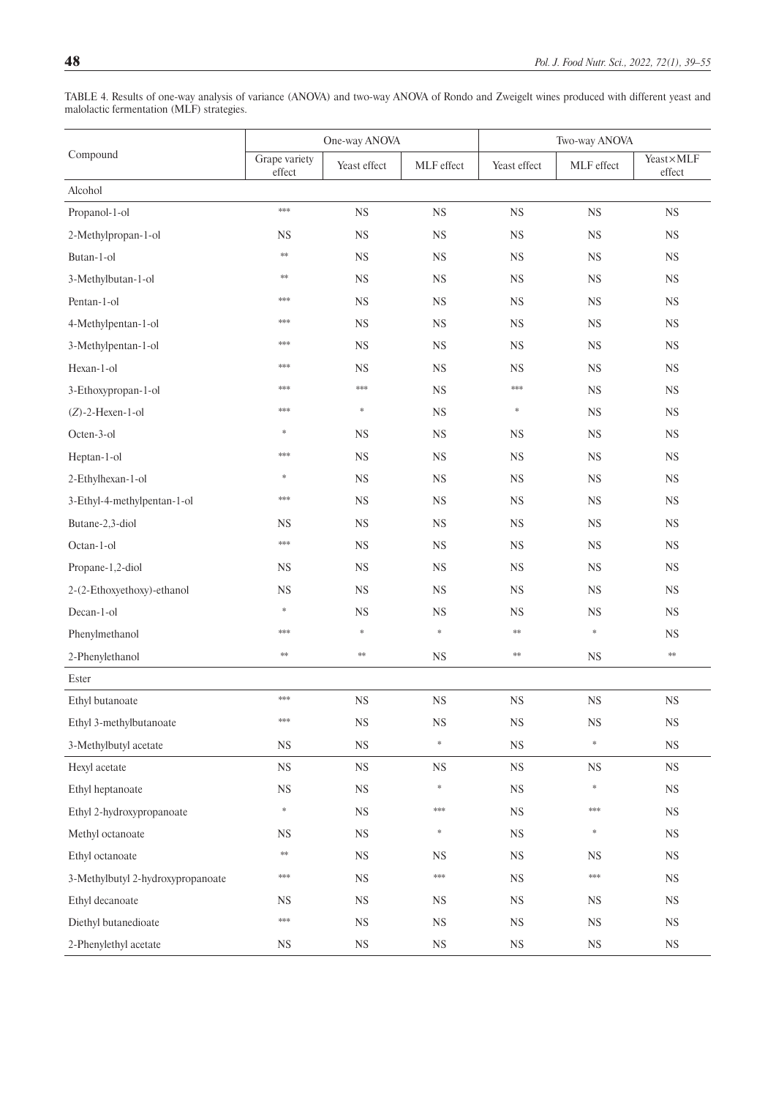|                                   |                         | One-way ANOVA |             |              | Two-way ANOVA |                     |
|-----------------------------------|-------------------------|---------------|-------------|--------------|---------------|---------------------|
| Compound                          | Grape variety<br>effect | Yeast effect  | MLF effect  | Yeast effect | MLF effect    | Yeast×MLF<br>effect |
| Alcohol                           |                         |               |             |              |               |                     |
| Propanol-1-ol                     | ***                     | <b>NS</b>     | <b>NS</b>   | <b>NS</b>    | <b>NS</b>     | <b>NS</b>           |
| 2-Methylpropan-1-ol               | <b>NS</b>               | $_{\rm NS}$   | $_{\rm NS}$ | <b>NS</b>    | $_{\rm NS}$   | <b>NS</b>           |
| Butan-1-ol                        | $\pm\pm$                | <b>NS</b>     | <b>NS</b>   | <b>NS</b>    | <b>NS</b>     | <b>NS</b>           |
| 3-Methylbutan-1-ol                | **                      | $_{\rm NS}$   | <b>NS</b>   | <b>NS</b>    | <b>NS</b>     | $_{\rm NS}$         |
| Pentan-1-ol                       | ***                     | $_{\rm NS}$   | $_{\rm NS}$ | $_{\rm NS}$  | $_{\rm NS}$   | <b>NS</b>           |
| 4-Methylpentan-1-ol               | ***                     | <b>NS</b>     | <b>NS</b>   | <b>NS</b>    | <b>NS</b>     | <b>NS</b>           |
| 3-Methylpentan-1-ol               | ***                     | <b>NS</b>     | <b>NS</b>   | <b>NS</b>    | <b>NS</b>     | <b>NS</b>           |
| Hexan-1-ol                        | ***                     | <b>NS</b>     | <b>NS</b>   | <b>NS</b>    | <b>NS</b>     | <b>NS</b>           |
| 3-Ethoxypropan-1-ol               | ***                     | $***$         | <b>NS</b>   | ***          | NS            | <b>NS</b>           |
| $(Z)$ -2-Hexen-1-ol               | ***                     | *             | $_{\rm NS}$ | $\ast$       | $_{\rm NS}$   | <b>NS</b>           |
| Octen-3-ol                        | *                       | <b>NS</b>     | <b>NS</b>   | <b>NS</b>    | $_{\rm NS}$   | <b>NS</b>           |
| Heptan-1-ol                       | ***                     | <b>NS</b>     | <b>NS</b>   | <b>NS</b>    | NS            | <b>NS</b>           |
| 2-Ethylhexan-1-ol                 | ∗                       | <b>NS</b>     | <b>NS</b>   | <b>NS</b>    | <b>NS</b>     | <b>NS</b>           |
| 3-Ethyl-4-methylpentan-1-ol       | ***                     | $_{\rm NS}$   | $_{\rm NS}$ | <b>NS</b>    | $_{\rm NS}$   | <b>NS</b>           |
| Butane-2,3-diol                   | <b>NS</b>               | <b>NS</b>     | <b>NS</b>   | NS           | NS            | <b>NS</b>           |
| Octan-1-ol                        | ***                     | $_{\rm NS}$   | $_{\rm NS}$ | <b>NS</b>    | $_{\rm NS}$   | $_{\rm NS}$         |
| Propane-1,2-diol                  | <b>NS</b>               | $_{\rm NS}$   | $_{\rm NS}$ | <b>NS</b>    | $_{\rm NS}$   | <b>NS</b>           |
| 2-(2-Ethoxyethoxy)-ethanol        | <b>NS</b>               | <b>NS</b>     | <b>NS</b>   | <b>NS</b>    | <b>NS</b>     | <b>NS</b>           |
| Decan-1-ol                        | *                       | <b>NS</b>     | $_{\rm NS}$ | <b>NS</b>    | $_{\rm NS}$   | <b>NS</b>           |
| Phenylmethanol                    | ***                     | *             | $\ast$      | **           | $\ast$        | <b>NS</b>           |
| 2-Phenylethanol                   | $\pm\pm$                | $\ast\!\ast$  | <b>NS</b>   | **           | <b>NS</b>     | $\ast\ast$          |
| Ester                             |                         |               |             |              |               |                     |
| Ethyl butanoate                   | ***                     | $_{\rm NS}$   | $_{\rm NS}$ | $_{\rm NS}$  | $_{\rm NS}$   | <b>NS</b>           |
| Ethyl 3-methylbutanoate           | $***$                   | NS            | $_{\rm NS}$ | $_{\rm NS}$  | $_{\rm NS}$   | $_{\rm NS}$         |
| 3-Methylbutyl acetate             | $_{\rm NS}$             | $_{\rm NS}$   | $\ast$      | $_{\rm NS}$  | $\ast$        | $_{\rm NS}$         |
| Hexyl acetate                     | $_{\rm NS}$             | $_{\rm NS}$   | $_{\rm NS}$ | $_{\rm NS}$  | $_{\rm NS}$   | $_{\rm NS}$         |
| Ethyl heptanoate                  | $_{\rm NS}$             | $_{\rm NS}$   | $\ast$      | $_{\rm NS}$  | $\ast$        | $_{\rm NS}$         |
| Ethyl 2-hydroxypropanoate         | *                       | $_{\rm NS}$   | ***         | $_{\rm NS}$  | ***           | $_{\rm NS}$         |
| Methyl octanoate                  | $_{\rm NS}$             | $_{\rm NS}$   | $\ast$      | $_{\rm NS}$  | $\ast$        | $_{\rm NS}$         |
| Ethyl octanoate                   | **                      | $_{\rm NS}$   | <b>NS</b>   | $_{\rm NS}$  | <b>NS</b>     | $_{\rm NS}$         |
| 3-Methylbutyl 2-hydroxypropanoate | ***                     | $_{\rm NS}$   | ***         | $_{\rm NS}$  | ***           | $_{\rm NS}$         |
| Ethyl decanoate                   | NS.                     | $_{\rm NS}$   | $_{\rm NS}$ | $_{\rm NS}$  | $_{\rm NS}$   | $_{\rm NS}$         |
| Diethyl butanedioate              | ***                     | $_{\rm NS}$   | $_{\rm NS}$ | $_{\rm NS}$  | $_{\rm NS}$   | $_{\rm NS}$         |
| 2-Phenylethyl acetate             | $_{\rm NS}$             | $_{\rm NS}$   | $_{\rm NS}$ | $_{\rm NS}$  | $_{\rm NS}$   | $_{\rm NS}$         |

<span id="page-9-0"></span>TABLE 4. Results of one-way analysis of variance (ANOVA) and two-way ANOVA of Rondo and Zweigelt wines produced with different yeast and malolactic fermentation (MLF) strategies.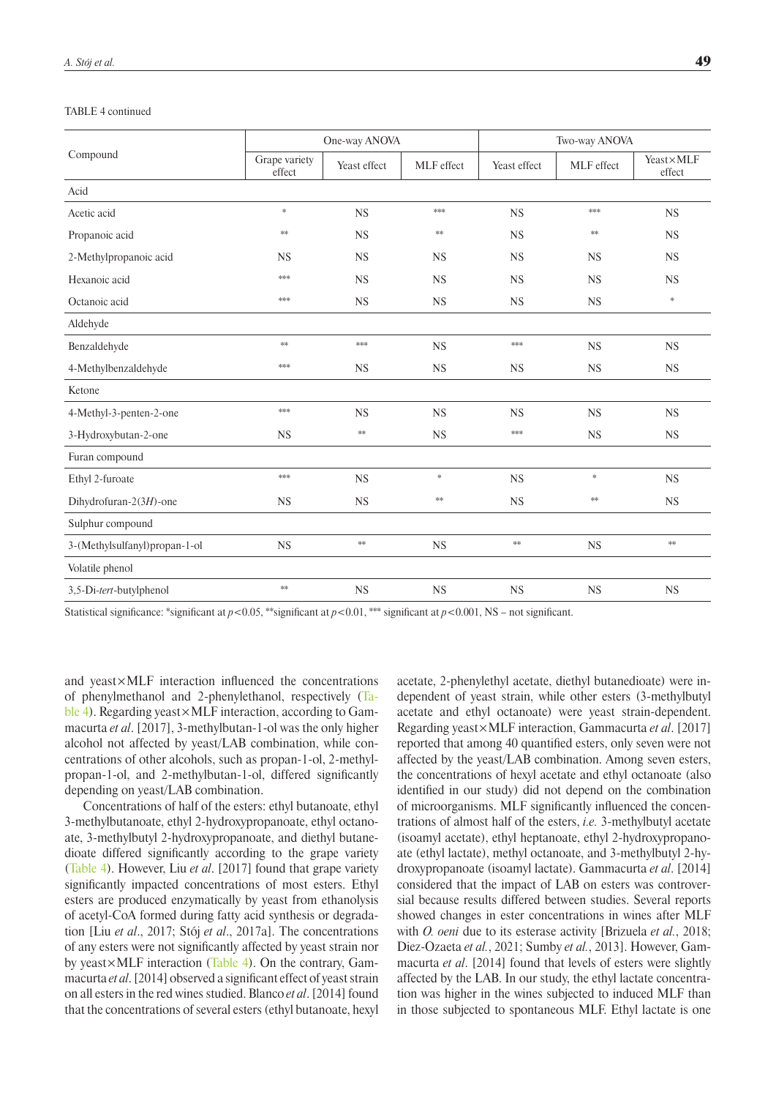#### TABLE 4 continued

|                               |                         | One-way ANOVA |            |              | Two-way ANOVA |                     |
|-------------------------------|-------------------------|---------------|------------|--------------|---------------|---------------------|
| Compound                      | Grape variety<br>effect | Yeast effect  | MLF effect | Yeast effect | MLF effect    | Yeast×MLF<br>effect |
| Acid                          |                         |               |            |              |               |                     |
| Acetic acid                   | $\ast$                  | <b>NS</b>     | $***$      | <b>NS</b>    | $***$         | <b>NS</b>           |
| Propanoic acid                | **                      | <b>NS</b>     | $\ast\ast$ | <b>NS</b>    | **            | <b>NS</b>           |
| 2-Methylpropanoic acid        | <b>NS</b>               | <b>NS</b>     | <b>NS</b>  | <b>NS</b>    | <b>NS</b>     | <b>NS</b>           |
| Hexanoic acid                 | ***                     | <b>NS</b>     | <b>NS</b>  | <b>NS</b>    | <b>NS</b>     | <b>NS</b>           |
| Octanoic acid                 | ***                     | <b>NS</b>     | <b>NS</b>  | <b>NS</b>    | <b>NS</b>     | $\ast$              |
| Aldehyde                      |                         |               |            |              |               |                     |
| Benzaldehyde                  | $**$                    | ***           | NS         | ***          | <b>NS</b>     | NS                  |
| 4-Methylbenzaldehyde          | ***                     | NS            | <b>NS</b>  | <b>NS</b>    | <b>NS</b>     | NS                  |
| Ketone                        |                         |               |            |              |               |                     |
| 4-Methyl-3-penten-2-one       | $***$                   | <b>NS</b>     | <b>NS</b>  | <b>NS</b>    | <b>NS</b>     | <b>NS</b>           |
| 3-Hydroxybutan-2-one          | <b>NS</b>               | $\ast\!\ast$  | NS         | ***          | <b>NS</b>     | NS                  |
| Furan compound                |                         |               |            |              |               |                     |
| Ethyl 2-furoate               | ***                     | NS            | $\ast$     | <b>NS</b>    | $\ast$        | <b>NS</b>           |
| Dihydrofuran-2 $(3H)$ -one    | <b>NS</b>               | <b>NS</b>     | **         | <b>NS</b>    | **            | <b>NS</b>           |
| Sulphur compound              |                         |               |            |              |               |                     |
| 3-(Methylsulfanyl)propan-1-ol | NS                      | $\ast\!\ast$  | <b>NS</b>  | $\ast\ast$   | <b>NS</b>     | $\pm\pm$            |
| Volatile phenol               |                         |               |            |              |               |                     |
| 3,5-Di-tert-butylphenol       | $\ast\ast$              | $_{\rm NS}$   | NS         | <b>NS</b>    | <b>NS</b>     | NS                  |
|                               |                         |               |            |              |               |                     |

Statistical significance: \*significant at  $p < 0.05$ , \*\*significant at  $p < 0.01$ , \*\*\* significant at  $p < 0.001$ , NS – not significant.

and yeast×MLF interaction influenced the concentrations of phenylmethanol and 2-phenylethanol, respectively ([Ta](#page-9-0)[ble 4](#page-9-0)). Regarding yeast  $\times$  MLF interaction, according to Gammacurta *et al*. [2017], 3-methylbutan-1-ol was the only higher alcohol not affected by yeast/LAB combination, while concentrations of other alcohols, such as propan-1-ol, 2-methylpropan-1-ol, and 2-methylbutan-1-ol, differed significantly depending on yeast/LAB combination.

Concentrations of half of the esters: ethyl butanoate, ethyl 3-methylbutanoate, ethyl 2-hydroxypropanoate, ethyl octanoate, 3-methylbutyl 2-hydroxypropanoate, and diethyl butanedioate differed significantly according to the grape variety ([Table 4](#page-9-0)). However, Liu *et al*. [2017] found that grape variety significantly impacted concentrations of most esters. Ethyl esters are produced enzymatically by yeast from ethanolysis of acetyl-CoA formed during fatty acid synthesis or degradation [Liu *et al*., 2017; Stój *et al*., 2017a]. The concentrations of any esters were not significantly affected by yeast strain nor by yeast×MLF interaction ([Table 4\)](#page-9-0). On the contrary, Gammacurta *et al*. [2014] observed a significant effect of yeast strain on all esters in the red wines studied. Blanco *et al*.[2014] found that the concentrations of several esters (ethyl butanoate, hexyl acetate, 2-phenylethyl acetate, diethyl butanedioate) were independent of yeast strain, while other esters (3-methylbutyl acetate and ethyl octanoate) were yeast strain-dependent. Regarding yeast×MLF interaction, Gammacurta *et al*. [2017] reported that among 40 quantified esters, only seven were not affected by the yeast/LAB combination. Among seven esters, the concentrations of hexyl acetate and ethyl octanoate (also identified in our study) did not depend on the combination of microorganisms. MLF significantly influenced the concentrations of almost half of the esters, *i.e.* 3-methylbutyl acetate (isoamyl acetate), ethyl heptanoate, ethyl 2-hydroxypropanoate (ethyl lactate), methyl octanoate, and 3-methylbutyl 2-hydroxypropanoate (isoamyl lactate). Gammacurta *et al*. [2014] considered that the impact of LAB on esters was controversial because results differed between studies. Several reports showed changes in ester concentrations in wines after MLF with *O. oeni* due to its esterase activity [Brizuela *et al.*, 2018; Diez-Ozaeta *et al.*, 2021; Sumby *et al.*, 2013]. However, Gammacurta *et al*. [2014] found that levels of esters were slightly affected by the LAB. In our study, the ethyl lactate concentration was higher in the wines subjected to induced MLF than in those subjected to spontaneous MLF. Ethyl lactate is one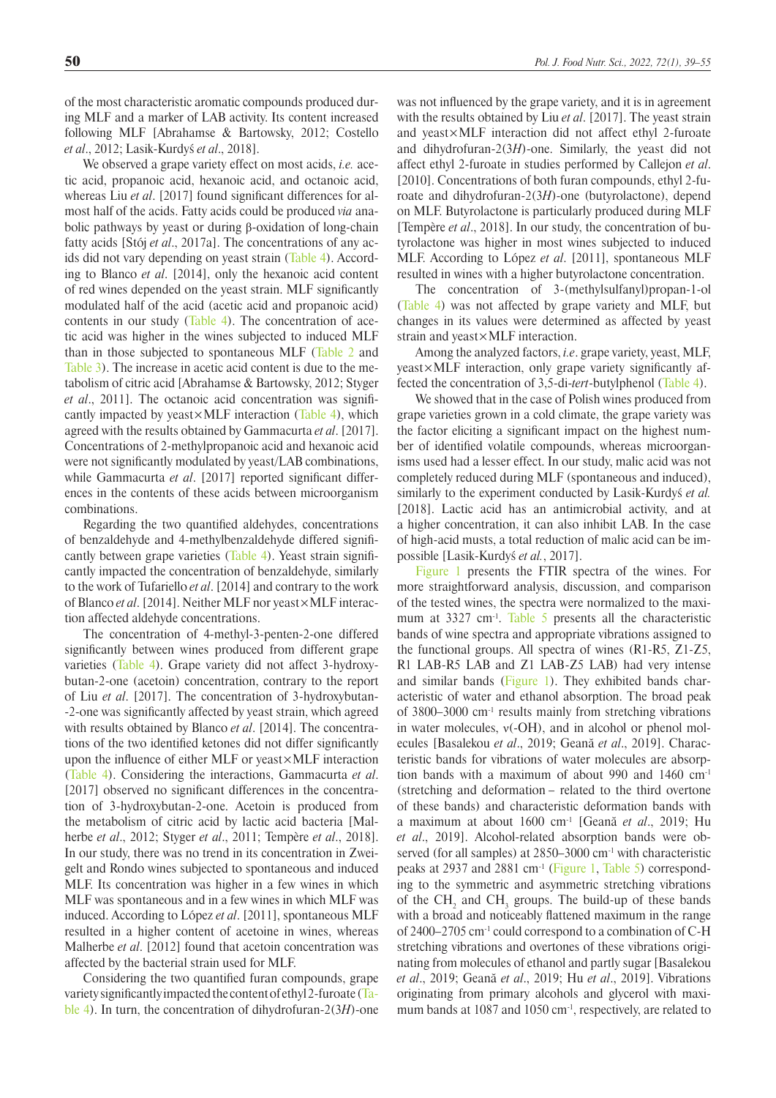of the most characteristic aromatic compounds produced during MLF and a marker of LAB activity. Its content increased following MLF [Abrahamse & Bartowsky, 2012; Costello *et al*., 2012; Lasik-Kurdyś *et al*., 2018].

We observed a grape variety effect on most acids, *i.e.* acetic acid, propanoic acid, hexanoic acid, and octanoic acid, whereas Liu *et al*. [2017] found significant differences for almost half of the acids. Fatty acids could be produced *via* anabolic pathways by yeast or during β-oxidation of long-chain fatty acids [Stój *et al*., 2017a]. The concentrations of any acids did not vary depending on yeast strain ([Table 4](#page-9-0)). According to Blanco *et al*. [2014], only the hexanoic acid content of red wines depended on the yeast strain. MLF significantly modulated half of the acid (acetic acid and propanoic acid) contents in our study (Table 4). The concentration of acetic acid was higher in the wines subjected to induced MLF than in those subjected to spontaneous MLF [\(Table 2](#page-5-0) and [Table 3\)](#page-7-0). The increase in acetic acid content is due to the metabolism of citric acid [Abrahamse & Bartowsky, 2012; Styger *et al*., 2011]. The octanoic acid concentration was significantly impacted by yeast $\times$ MLF interaction [\(Table 4](#page-9-0)), which agreed with the results obtained by Gammacurta *et al*. [2017]. Concentrations of 2-methylpropanoic acid and hexanoic acid were not significantly modulated by yeast/LAB combinations, while Gammacurta *et al*. [2017] reported significant differences in the contents of these acids between microorganism combinations.

Regarding the two quantified aldehydes, concentrations of benzaldehyde and 4-methylbenzaldehyde differed significantly between grape varieties ([Table 4\)](#page-9-0). Yeast strain significantly impacted the concentration of benzaldehyde, similarly to the work of Tufariello *et al*. [2014] and contrary to the work of Blanco *et al*. [2014]. Neither MLF nor yeast×MLF interaction affected aldehyde concentrations.

The concentration of 4-methyl-3-penten-2-one differed significantly between wines produced from different grape varieties ([Table 4](#page-9-0)). Grape variety did not affect 3-hydroxybutan-2-one (acetoin) concentration, contrary to the report of Liu *et al*. [2017]. The concentration of 3-hydroxybutan- -2-one was significantly affected by yeast strain, which agreed with results obtained by Blanco *et al*. [2014]. The concentrations of the two identified ketones did not differ significantly upon the influence of either MLF or yeast×MLF interaction ([Table 4](#page-9-0)). Considering the interactions, Gammacurta *et al*. [2017] observed no significant differences in the concentration of 3-hydroxybutan-2-one. Acetoin is produced from the metabolism of citric acid by lactic acid bacteria [Malherbe *et al*., 2012; Styger *et al*., 2011; Tempère *et al*., 2018]. In our study, there was no trend in its concentration in Zweigelt and Rondo wines subjected to spontaneous and induced MLF. Its concentration was higher in a few wines in which MLF was spontaneous and in a few wines in which MLF was induced. According to López *et al*. [2011], spontaneous MLF resulted in a higher content of acetoine in wines, whereas Malherbe *et al*. [2012] found that acetoin concentration was affected by the bacterial strain used for MLF.

Considering the two quantified furan compounds, grape variety significantly impacted the content of ethyl 2-furoate ([Ta](#page-9-0)[ble 4\)](#page-9-0). In turn, the concentration of dihydrofuran-2(3*H*)-one was not influenced by the grape variety, and it is in agreement with the results obtained by Liu *et al*. [2017]. The yeast strain and yeast×MLF interaction did not affect ethyl 2-furoate and dihydrofuran-2(3*H*)-one. Similarly, the yeast did not affect ethyl 2-furoate in studies performed by Callejon *et al*. [2010]. Concentrations of both furan compounds, ethyl 2-furoate and dihydrofuran-2(3*H*)-one (butyrolactone), depend on MLF. Butyrolactone is particularly produced during MLF [Tempère *et al*., 2018]. In our study, the concentration of butyrolactone was higher in most wines subjected to induced MLF. According to López *et al*. [2011], spontaneous MLF resulted in wines with a higher butyrolactone concentration.

The concentration of 3-(methylsulfanyl)propan-1-ol ([Table 4](#page-9-0)) was not affected by grape variety and MLF, but changes in its values were determined as affected by yeast strain and yeast×MLF interaction.

Among the analyzed factors, *i.e*. grape variety, yeast, MLF, yeast×MLF interaction, only grape variety significantly affected the concentration of 3,5-di-*tert*-butylphenol ([Table 4](#page-9-0)).

We showed that in the case of Polish wines produced from grape varieties grown in a cold climate, the grape variety was the factor eliciting a significant impact on the highest number of identified volatile compounds, whereas microorganisms used had a lesser effect. In our study, malic acid was not completely reduced during MLF (spontaneous and induced), similarly to the experiment conducted by Lasik-Kurdyś *et al.* [2018]. Lactic acid has an antimicrobial activity, and at a higher concentration, it can also inhibit LAB. In the case of high-acid musts, a total reduction of malic acid can be impossible [Lasik-Kurdyś *et al.*, 2017].

Figure 1 presents the FTIR spectra of the wines. For more straightforward analysis, discussion, and comparison of the tested wines, the spectra were normalized to the maximum at 3327 cm<sup>-1</sup>. Table 5 presents all the characteristic bands of wine spectra and appropriate vibrations assigned to the functional groups. All spectra of wines (R1-R5, Z1-Z5, R1 LAB-R5 LAB and Z1 LAB-Z5 LAB) had very intense and similar bands (Figure 1). They exhibited bands characteristic of water and ethanol absorption. The broad peak of 3800–3000 cm-1 results mainly from stretching vibrations in water molecules, ν(-OH), and in alcohol or phenol molecules [Basalekou *et al*., 2019; Geană *et al*., 2019]. Characteristic bands for vibrations of water molecules are absorption bands with a maximum of about 990 and 1460 cm<sup>-1</sup> (stretching and deformation – related to the third overtone of these bands) and characteristic deformation bands with a maximum at about 1600 cm-1 [Geană *et al*., 2019; Hu *et al*., 2019]. Alcohol-related absorption bands were observed (for all samples) at 2850–3000 cm<sup>-1</sup> with characteristic peaks at 2937 and 2881 cm-1 ([Figure 1](#page-12-0), [Table 5](#page-12-0)) corresponding to the symmetric and asymmetric stretching vibrations of the  $CH_2$  and  $CH_3$  groups. The build-up of these bands with a broad and noticeably flattened maximum in the range of 2400–2705 cm-1 could correspond to a combination of C-H stretching vibrations and overtones of these vibrations originating from molecules of ethanol and partly sugar [Basalekou *et al*., 2019; Geană *et al*., 2019; Hu *et al*., 2019]. Vibrations originating from primary alcohols and glycerol with maximum bands at 1087 and 1050 cm<sup>-1</sup>, respectively, are related to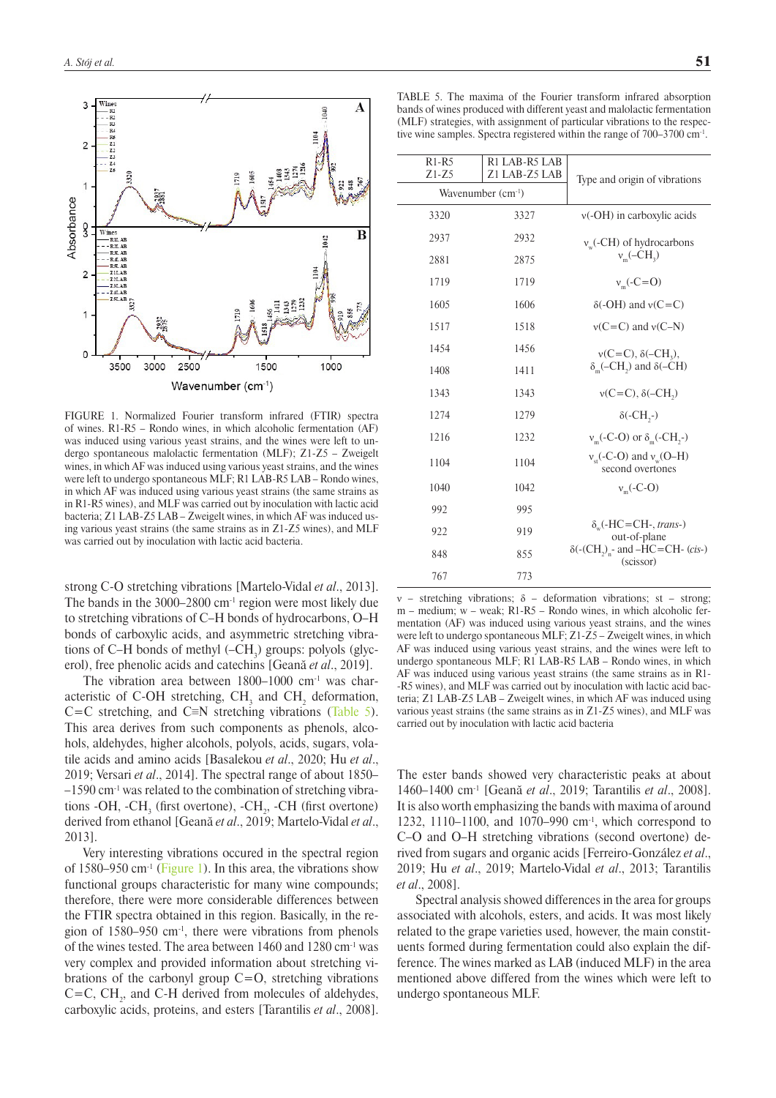

FIGURE 1. Normalized Fourier transform infrared (FTIR) spectra of wines. R1-R5 – Rondo wines, in which alcoholic fermentation (AF) was induced using various yeast strains, and the wines were left to undergo spontaneous malolactic fermentation (MLF); Z1-Z5 – Zweigelt wines, in which AF was induced using various yeast strains, and the wines were left to undergo spontaneous MLF; R1 LAB-R5 LAB – Rondo wines, in which AF was induced using various yeast strains (the same strains as in R1-R5 wines), and MLF was carried out by inoculation with lactic acid bacteria; Z1 LAB-Z5 LAB – Zweigelt wines, in which AF was induced using various yeast strains (the same strains as in Z1-Z5 wines), and MLF was carried out by inoculation with lactic acid bacteria.

strong C-O stretching vibrations [Martelo-Vidal *et al*., 2013]. The bands in the 3000–2800 cm<sup>-1</sup> region were most likely due to stretching vibrations of C–H bonds of hydrocarbons, O–H bonds of carboxylic acids, and asymmetric stretching vibrations of C–H bonds of methyl  $(-CH_3)$  groups: polyols (glycerol), free phenolic acids and catechins [Geană *et al*., 2019].

The vibration area between  $1800-1000$  cm<sup>-1</sup> was characteristic of C-OH stretching,  $CH<sub>3</sub>$  and  $CH<sub>2</sub>$  deformation, C=C stretching, and C≡N stretching vibrations ([Table 5](#page-12-0)). This area derives from such components as phenols, alcohols, aldehydes, higher alcohols, polyols, acids, sugars, volatile acids and amino acids [Basalekou *et al*., 2020; Hu *et al*., 2019; Versari *et al*., 2014]. The spectral range of about 1850– –1590 cm-1 was related to the combination of stretching vibrations -OH, -CH<sub>3</sub> (first overtone), -CH<sub>2</sub>, -CH (first overtone) derived from ethanol [Geană *et al*., 2019; Martelo-Vidal *et al*., 2013].

Very interesting vibrations occured in the spectral region of 1580–950 cm<sup>-1</sup> ([Figure 1](#page-12-0)). In this area, the vibrations show functional groups characteristic for many wine compounds; therefore, there were more considerable differences between the FTIR spectra obtained in this region. Basically, in the region of 1580–950 cm-1, there were vibrations from phenols of the wines tested. The area between 1460 and 1280 cm-1 was very complex and provided information about stretching vibrations of the carbonyl group  $C=O$ , stretching vibrations  $C=C, CH<sub>2</sub>, and C-H$  derived from molecules of aldehydes, carboxylic acids, proteins, and esters [Tarantilis *et al*., 2008].

<span id="page-12-0"></span>TABLE 5. The maxima of the Fourier transform infrared absorption b[ands](http://pl.pons.com/t%C5%82umaczenie/angielski-polski/ands) of wines produced with different yeast and malolactic fermentation (MLF) strategies, [with](http://pl.pons.com/t%C5%82umaczenie/angielski-polski/with) assignment of particular [vibration](http://pl.pons.com/t%C5%82umaczenie/angielski-polski/vibration)s to the respective wine samples. Spectra registered within the range of 700–3700 cm-1.

| $R1-R5$<br>$Z1 - Z5$ | R1 LAB-R5 LAB<br>Z1 LAB-Z5 LAB | Type and origin of vibrations                                                |
|----------------------|--------------------------------|------------------------------------------------------------------------------|
|                      | Wavenumber (cm <sup>-1</sup> ) |                                                                              |
| 3320                 | 3327                           | $v(-OH)$ in carboxylic acids                                                 |
| 2937                 | 2932                           | $v_w$ (-CH) of hydrocarbons                                                  |
| 2881                 | 2875                           | $v_{m}$ (–CH <sub>2</sub> )                                                  |
| 1719                 | 1719                           | $v_{m}$ (-C=O)                                                               |
| 1605                 | 1606                           | $\delta$ (-OH) and $v(C=C)$                                                  |
| 1517                 | 1518                           | $v(C=C)$ and $v(C-N)$                                                        |
| 1454                 | 1456                           | $v(C=C), \delta(-CH_2),$                                                     |
| 1408                 | 1411                           | $\delta_{m}(-CH_{2})$ and $\delta(-CH)$                                      |
| 1343                 | 1343                           | $v(C=C), \delta(-CH)$                                                        |
| 1274                 | 1279                           | $\delta$ (-CH <sub>2</sub> -)                                                |
| 1216                 | 1232                           | $v_m$ (-C-O) or $\delta_m$ (-CH <sub>2</sub> -)                              |
| 1104                 | 1104                           | $v_{\rm st}$ (-C-O) and $v_{\rm w}$ (O–H)<br>second overtones                |
| 1040                 | 1042                           | $v_{m}$ (-C-O)                                                               |
| 992                  | 995                            |                                                                              |
| 922                  | 919                            | $\delta_{\rm w}$ (-HC=CH-, trans-)<br>out-of-plane                           |
| 848                  | 855                            | $\delta$ (-(CH <sub>2</sub> ) <sub>n</sub> - and -HC=CH- (cis-)<br>(scissor) |
| 767                  | 773                            |                                                                              |

ν – stretching vibrations; δ – deformation vibrations; st – strong; m – medium; w – weak; R1-R5 – Rondo wines, in which alcoholic fermentation (AF) was induced using various yeast strains, and the wines were left to undergo spontaneous MLF; Z1-Z5 – Zweigelt wines, in which AF was induced using various yeast strains, and the wines were left to undergo spontaneous MLF; R1 LAB-R5 LAB – Rondo wines, in which AF was induced using various yeast strains (the same strains as in R1- -R5 wines), and MLF was carried out by inoculation with lactic acid bacteria; Z1 LAB-Z5 LAB – Zweigelt wines, in which AF was induced using various yeast strains (the same strains as in Z1-Z5 wines), and MLF was carried out by inoculation with lactic acid bacteria

The ester bands showed very characteristic peaks at about 1460–1400 cm-1 [Geană *et al*., 2019; Tarantilis *et al*., 2008]. It is also worth emphasizing the bands with maxima of around 1232, 1110–1100, and 1070–990 cm-1, which correspond to C–O and O–H stretching vibrations (second overtone) derived from sugars and organic acids [Ferreiro-González *et al*., 2019; Hu *et al*., 2019; Martelo-Vidal *et al*., 2013; Tarantilis *et al*., 2008].

Spectral analysis showed differences in the area for groups associated with alcohols, esters, and acids. It was most likely related to the grape varieties used, however, the main constituents formed during fermentation could also explain the difference. The wines marked as LAB (induced MLF) in the area mentioned above differed from the wines which were left to undergo spontaneous MLF.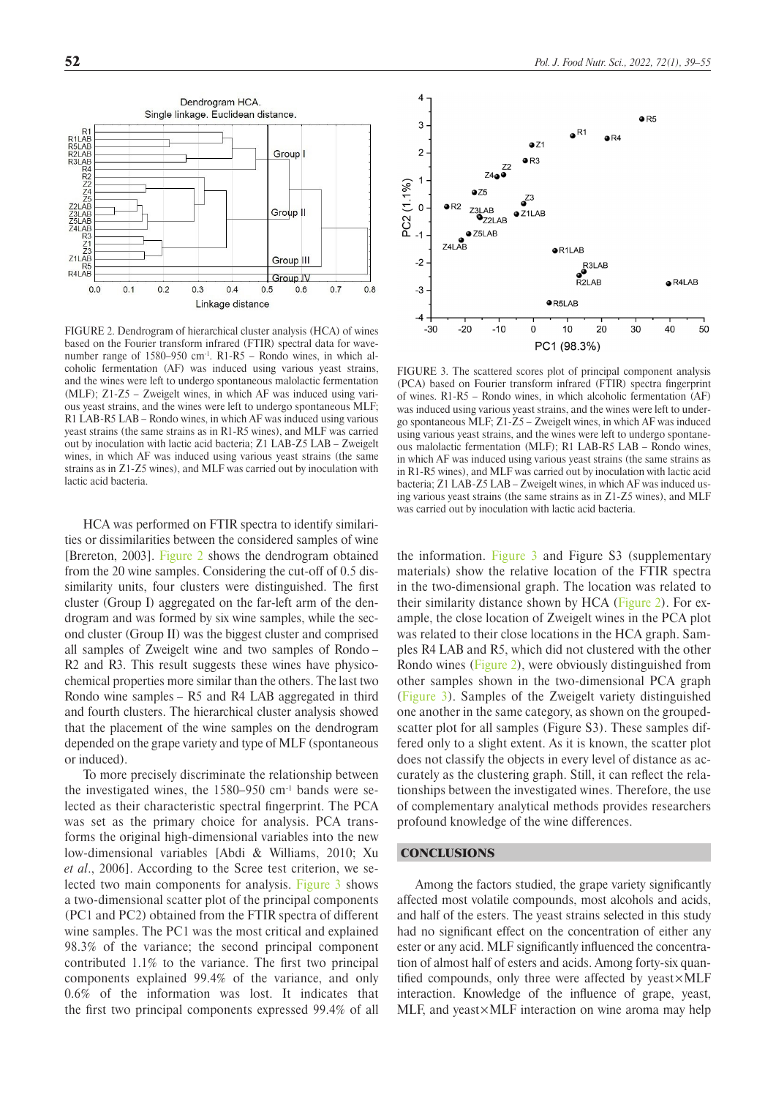<span id="page-13-0"></span>

Linkage distance

FIGURE 2. Dendrogram of hierarchical cluster analysis (HCA) of wines based on the Fourier transform infrared (FTIR) spectral data for wavenumber range of 1580–950 cm<sup>-1</sup>. R1-R5 – Rondo wines, in which alcoholic fermentation (AF) was induced using various yeast strains, and the wines were left to undergo spontaneous malolactic fermentation (MLF); Z1-Z5 – Zweigelt wines, in which AF was induced using various yeast strains, and the wines were left to undergo spontaneous MLF; R1 LAB-R5 LAB – Rondo wines, in which AF was induced using various yeast strains (the same strains as in R1-R5 wines), and MLF was carried out by inoculation with lactic acid bacteria; Z1 LAB-Z5 LAB – Zweigelt wines, in which AF was induced using various yeast strains (the same strains as in Z1-Z5 wines), and MLF was carried out by inoculation with lactic acid bacteria.

HCA was performed on FTIR spectra to identify similarities or dissimilarities between the considered samples of wine [Brereton, 2003]. [Figure 2](#page-13-0) shows the dendrogram obtained from the 20 wine samples. Considering the cut-off of 0.5 dissimilarity units, four clusters were distinguished. The first cluster (Group I) aggregated on the far-left arm of the dendrogram and was formed by six wine samples, while the second cluster (Group II) was the biggest cluster and comprised all samples of Zweigelt wine and two samples of Rondo – R<sub>2</sub> and R<sub>3</sub>. This result suggests these wines have physicochemical properties more similar than the others. The last two Rondo wine samples – R5 and R4 LAB aggregated in third and fourth clusters. The hierarchical cluster analysis showed that the placement of the wine samples on the dendrogram depended on the grape variety and type of MLF (spontaneous or induced).

To more precisely discriminate the relationship between the investigated wines, the 1580–950 cm-1 bands were selected as their characteristic spectral fingerprint. The PCA was set as the primary choice for analysis. PCA transforms the original high-dimensional variables into the new low-dimensional variables [Abdi & Williams, 2010; Xu *et al*., 2006]. According to the Scree test criterion, we selected two main components for analysis. [Figure 3](#page-13-0) shows a two-dimensional scatter plot of the principal components (PC1 and PC2) obtained from the FTIR spectra of different wine samples. The PC1 was the most critical and explained 98.3% of the variance; the second principal component contributed 1.1% to the variance. The first two principal components explained 99.4% of the variance, and only 0.6% of the information was lost. It indicates that the first two principal components expressed 99.4% of all



FIGURE 3. The scattered scores plot of principal component analysis (PCA) based on Fourier transform infrared (FTIR) spectra fingerprint of wines. R1-R5 – Rondo wines, in which alcoholic fermentation (AF) was induced using various yeast strains, and the wines were left to undergo spontaneous MLF; Z1-Z5 – Zweigelt wines, in which AF was induced using various yeast strains, and the wines were left to undergo spontaneous malolactic fermentation (MLF); R1 LAB-R5 LAB – Rondo wines, in which AF was induced using various yeast strains (the same strains as in R1-R5 wines), and MLF was carried out by inoculation with lactic acid bacteria; Z1 LAB-Z5 LAB – Zweigelt wines, in which AF was induced using various yeast strains (the same strains as in Z1-Z5 wines), and MLF was carried out by inoculation with lactic acid bacteria.

the information. Figure 3 and Figure S3 (supplementary materials) show the relative location of the FTIR spectra in the two-dimensional graph. The location was related to their similarity distance shown by HCA [\(Figure 2](#page-13-0)). For example, the close location of Zweigelt wines in the PCA plot was related to their close locations in the HCA graph. Samples R4 LAB and R5, which did not clustered with the other Rondo wines ([Figure 2\)](#page-13-0), were obviously distinguished from other samples shown in the two-dimensional PCA graph ([Figure 3\)](#page-13-0). Samples of the Zweigelt variety distinguished one another in the same category, as shown on the groupedscatter plot for all samples (Figure S3). These samples differed only to a slight extent. As it is known, the scatter plot does not classify the objects in every level of distance as accurately as the clustering graph. Still, it can reflect the relationships between the investigated wines. Therefore, the use of complementary analytical methods provides researchers profound knowledge of the wine differences.

## **CONCLUSIONS**

Among the factors studied, the grape variety significantly affected most volatile compounds, most alcohols and acids, and half of the esters. The yeast strains selected in this study had no significant effect on the concentration of either any ester or any acid. MLF significantly influenced the concentration of almost half of esters and acids. Among forty-six quantified compounds, only three were affected by yeast×MLF interaction. Knowledge of the influence of grape, yeast, MLF, and yeast×MLF interaction on wine aroma may help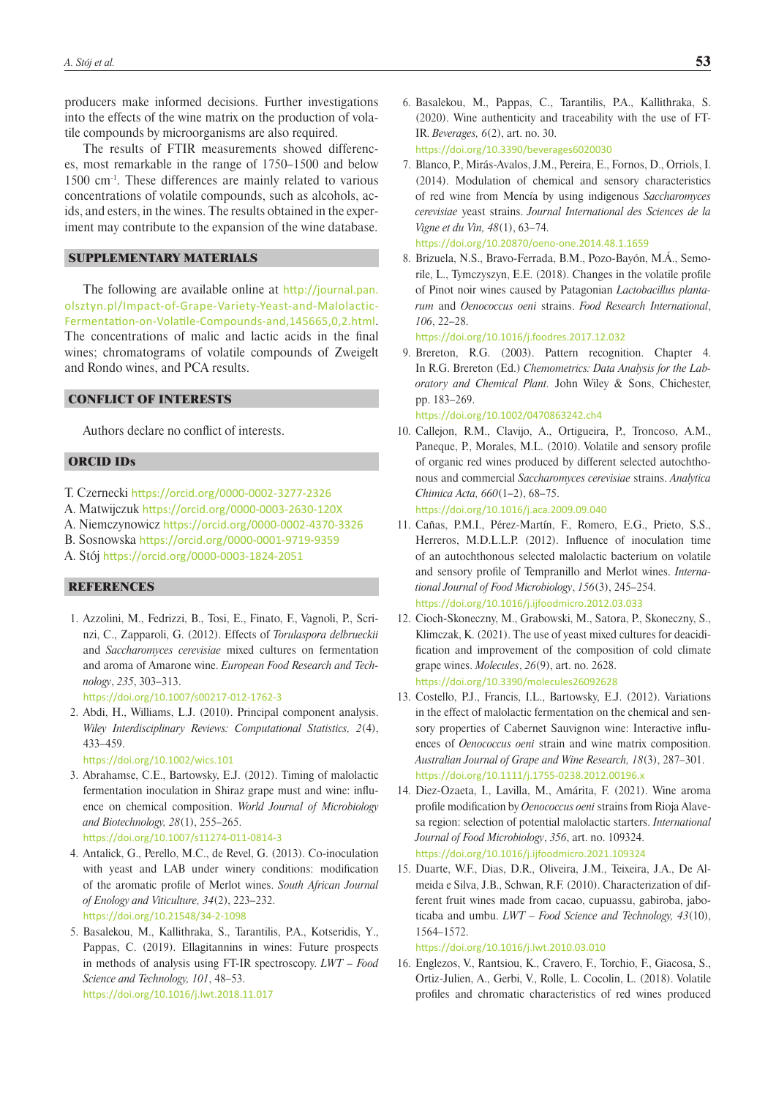producers make informed decisions. Further investigations into the effects of the wine matrix on the production of volatile compounds by microorganisms are also required.

The results of FTIR measurements showed differences, most remarkable in the range of 1750–1500 and below 1500 cm-1. These differences are mainly related to various concentrations of volatile compounds, such as alcohols, acids, and esters, in the wines. The results obtained in the experiment may contribute to the expansion of the wine database.

### SUPPLEMENTARY MATERIALS

The following are available online at [http://journal.pan.](http://journal.pan.olsztyn.pl/Impact-of-Grape-Variety-Yeast-and-Malolactic-Fermentation-on-Volatile-Compounds-and,145665,0,2.html) [olsztyn.pl/Impact-of-Grape-Variety-Yeast-and-Malolactic-](http://journal.pan.olsztyn.pl/Impact-of-Grape-Variety-Yeast-and-Malolactic-Fermentation-on-Volatile-Compounds-and,145665,0,2.html)[Fermentation-on-Volatile-Compounds-and,145665,0,2.html](http://journal.pan.olsztyn.pl/Impact-of-Grape-Variety-Yeast-and-Malolactic-Fermentation-on-Volatile-Compounds-and,145665,0,2.html). The concentrations of malic and lactic acids in the final wines; chromatograms of volatile compounds of Zweigelt and Rondo wines, and PCA results.

## CONFLICT OF INTERESTS

Authors declare no conflict of interests.

## ORCID IDs

- T. Czernecki <https://orcid.org/0000-0002-3277-2326>
- A. Matwijczuk <https://orcid.org/0000-0003-2630-120X>
- A. Niemczynowicz <https://orcid.org/0000-0002-4370-3326>
- B. Sosnowska <https://orcid.org/0000-0001-9719-9359>
- A. Stój <https://orcid.org/0000-0003-1824-2051>

# **REFERENCES**

1. Azzolini, M., Fedrizzi, B., Tosi, E., Finato, F., Vagnoli, P., Scrinzi, C., Zapparoli, G. (2012). Effects of *Torulaspora delbrueckii* and *Saccharomyces cerevisiae* mixed cultures on fermentation and aroma of Amarone wine. *European Food Research and Technology*, *235*, 303–313.

<https://doi.org/10.1007/s00217-012-1762-3>

2. Abdi, H., Williams, L.J. (2010). Principal component analysis. *Wiley Interdisciplinary Reviews: Computational Statistics, 2*(4), 433–459.

<https://doi.org/10.1002/wics.101>

- 3. Abrahamse, C.E., Bartowsky, E.J. (2012). Timing of malolactic fermentation inoculation in Shiraz grape must and wine: influence on chemical composition. *World Journal of Microbiology and Biotechnology, 28*(1), 255–265. <https://doi.org/10.1007/s11274-011-0814-3>
- 4. Antalick, G., Perello, M.C., de Revel, G. (2013). Co-inoculation with yeast and LAB under winery conditions: modification of the aromatic profile of Merlot wines. *South African Journal of Enology and Viticulture, 34*(2), 223–232. <https://doi.org/10.21548/34-2-1098>
- 5. Basalekou, M., Kallithraka, S., Tarantilis, P.A., Kotseridis, Y., Pappas, C. (2019). Ellagitannins in wines: Future prospects in methods of analysis using FT-IR spectroscopy. *LWT – Food Science and Technology, 101*, 48–53. <https://doi.org/10.1016/j.lwt.2018.11.017>
- 6. Basalekou, M., Pappas, C., Tarantilis, P.A., Kallithraka, S. (2020). Wine authenticity and traceability with the use of FT-IR. *Beverages, 6*(2), art. no. 30. <https://doi.org/10.3390/beverages6020030>
- 7. Blanco, P., Mirás-Avalos, J.M., Pereira, E., Fornos, D., Orriols, I. (2014). Modulation of chemical and sensory characteristics of red wine from Mencía by using indigenous *Saccharomyces cerevisiae* yeast strains. *Journal International des Sciences de la Vigne et du Vin, 48*(1), 63–74.

<https://doi.org/10.20870/oeno-one.2014.48.1.1659>

8. Brizuela, N.S., Bravo-Ferrada, B.M., Pozo-Bayón, M.Á., Semorile, L., Tymczyszyn, E.E. (2018). Changes in the volatile profile of Pinot noir wines caused by Patagonian *Lactobacillus plantarum* and *Oenococcus oeni* strains. *Food Research International*, *106*, 22–28.

<https://doi.org/10.1016/j.foodres.2017.12.032>

9. Brereton, R.G. (2003). Pattern recognition. Chapter 4. In R.G. Brereton (Ed.) *Chemometrics: Data Analysis for the Laboratory and Chemical Plant.* John Wiley & Sons, Chichester, pp. 183–269.

<https://doi.org/10.1002/0470863242.ch4>

10. Callejon, R.M., Clavijo, A., Ortigueira, P., Troncoso, A.M., Paneque, P., Morales, M.L. (2010). Volatile and sensory profile of organic red wines produced by different selected autochthonous and commercial *Saccharomyces cerevisiae* strains. *Analytica Chimica Acta, 660*(1–2), 68–75.

<https://doi.org/10.1016/j.aca.2009.09.040>

- 11. Cañas, P.M.I., Pérez-Martín, F., Romero, E.G., Prieto, S.S., Herreros, M.D.L.L.P. (2012). Influence of inoculation time of an autochthonous selected malolactic bacterium on volatile and sensory profile of Tempranillo and Merlot wines. *International Journal of Food Microbiology*, *156*(3), 245–254. <https://doi.org/10.1016/j.ijfoodmicro.2012.03.033>
- 12. Cioch-Skoneczny, M., Grabowski, M., Satora, P., Skoneczny, S., Klimczak, K. (2021). The use of yeast mixed cultures for deacidification and improvement of the composition of cold climate grape wines. *Molecules*, *26*(9), art. no. 2628. <https://doi.org/10.3390/molecules26092628>
- 13. Costello, P.J., Francis, I.L., Bartowsky, E.J. (2012). Variations in the effect of malolactic fermentation on the chemical and sensory properties of Cabernet Sauvignon wine: Interactive influences of *Oenococcus oeni* strain and wine matrix composition. *Australian Journal of Grape and Wine Research, 18*(3), 287–301. <https://doi.org/10.1111/j.1755-0238.2012.00196.x>
- 14. Diez-Ozaeta, I., Lavilla, M., Amárita, F. (2021). Wine aroma profile modification by *Oenococcus oeni* strains from Rioja Alavesa region: selection of potential malolactic starters. *International Journal of Food Microbiology*, *356*, art. no. 109324. <https://doi.org/10.1016/j.ijfoodmicro.2021.109324>
- 15. Duarte, W.F., Dias, D.R., Oliveira, J.M., Teixeira, J.A., De Almeida e Silva, J.B., Schwan, R.F. (2010). Characterization of different fruit wines made from cacao, cupuassu, gabiroba, jaboticaba and umbu. *LWT – Food Science and Technology, 43*(10), 1564–1572.

### <https://doi.org/10.1016/j.lwt.2010.03.010>

16. Englezos, V., Rantsiou, K., Cravero, F., Torchio, F., Giacosa, S., Ortiz-Julien, A., Gerbi, V., Rolle, L. Cocolin, L. (2018). Volatile profiles and chromatic characteristics of red wines produced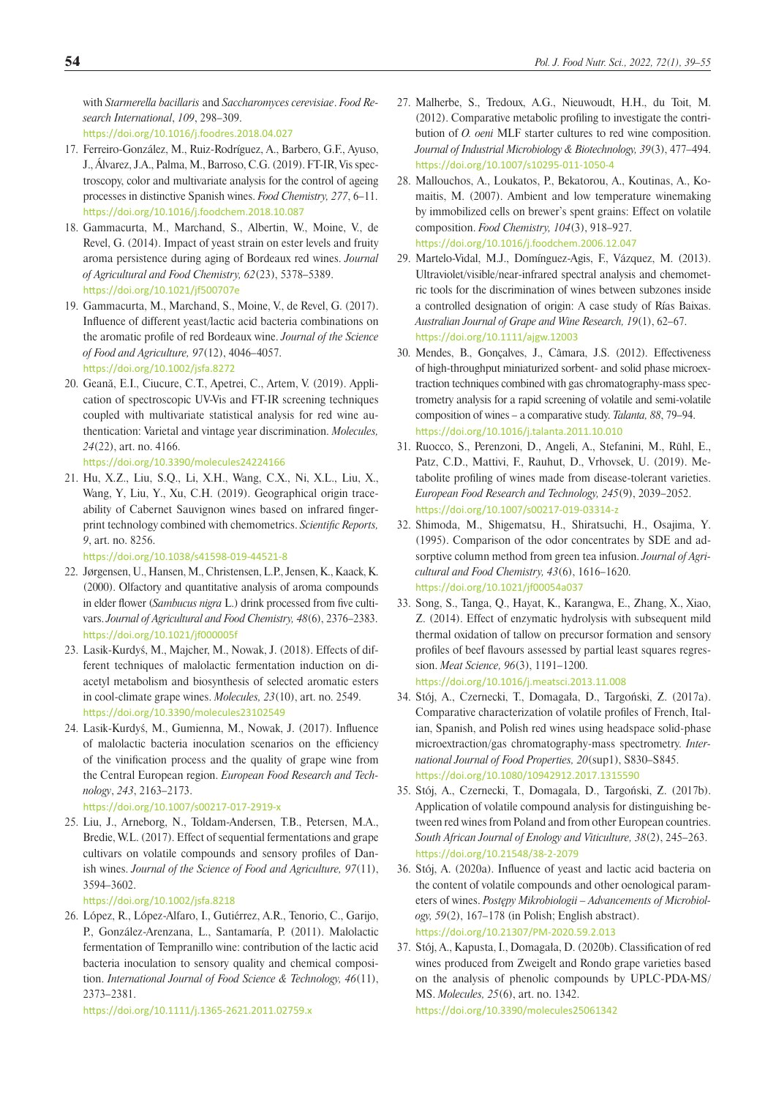with *Starmerella bacillaris* and *Saccharomyces cerevisiae*. *Food Research International*, *109*, 298–309.

<https://doi.org/10.1016/j.foodres.2018.04.027>

- 17. Ferreiro-González, M., Ruiz-Rodríguez, A., Barbero, G.F., Ayuso, J., Álvarez, J.A., Palma, M., Barroso, C.G.(2019). FT-IR, Vis spectroscopy, color and multivariate analysis for the control of ageing processes in distinctive Spanish wines. *Food Chemistry, 277*, 6–11. <https://doi.org/10.1016/j.foodchem.2018.10.087>
- 18. Gammacurta, M., Marchand, S., Albertin, W., Moine, V., de Revel, G. (2014). Impact of yeast strain on ester levels and fruity aroma persistence during aging of Bordeaux red wines. *Journal of Agricultural and Food Chemistry, 62*(23), 5378–5389. <https://doi.org/10.1021/jf500707e>
- 19. Gammacurta, M., Marchand, S., Moine, V., de Revel, G. (2017). Influence of different yeast/lactic acid bacteria combinations on the aromatic profile of red Bordeaux wine. *Journal of the Science of Food and Agriculture, 97*(12), 4046–4057. https://doi.org/10.1002/jsfa.8272
- 20. Geană, E.I., Ciucure, C.T., Apetrei, C., Artem, V. (2019). Application of spectroscopic UV-Vis and FT-IR screening techniques coupled with multivariate statistical analysis for red wine authentication: Varietal and vintage year discrimination. *Molecules, 24*(22), art. no. 4166.
	- <https://doi.org/10.3390/molecules24224166>
- 21. Hu, X.Z., Liu, S.Q., Li, X.H., Wang, C.X., Ni, X.L., Liu, X., Wang, Y, Liu, Y., Xu, C.H. (2019). Geographical origin traceability of Cabernet Sauvignon wines based on infrared fingerprint technology combined with chemometrics. *Scientific Reports, 9*, art. no. 8256.

<https://doi.org/10.1038/s41598-019-44521-8>

- 22. Jørgensen, U., Hansen, M., Christensen, L.P., Jensen, K., Kaack, K. (2000). Olfactory and quantitative analysis of aroma compounds in elder flower (*Sambucus nigra* L.) drink processed from five cultivars. *Journal of Agricultural and Food Chemistry, 48*(6), 2376–2383. <https://doi.org/10.1021/jf000005f>
- 23. Lasik-Kurdyś, M., Majcher, M., Nowak, J. (2018). Effects of different techniques of malolactic fermentation induction on diacetyl metabolism and biosynthesis of selected aromatic esters in cool-climate grape wines. *Molecules, 23*(10), art. no. 2549. https://doi.org/10.3390/molecules23102549
- 24. Lasik-Kurdyś, M., Gumienna, M., Nowak, J. (2017). Influence of malolactic bacteria inoculation scenarios on the efficiency of the vinification process and the quality of grape wine from the Central European region. *European Food Research and Technology*, *243*, 2163–2173.

<https://doi.org/10.1007/s00217-017-2919-x>

25. Liu, J., Arneborg, N., Toldam-Andersen, T.B., Petersen, M.A., Bredie, W.L. (2017). Effect of sequential fermentations and grape cultivars on volatile compounds and sensory profiles of Danish wines. *Journal of the Science of Food and Agriculture, 97*(11), 3594–3602.

<https://doi.org/10.1002/jsfa.8218>

26. López, R., López-Alfaro, I., Gutiérrez, A.R., Tenorio, C., Garijo, P., González-Arenzana, L., Santamaría, P. (2011). Malolactic fermentation of Tempranillo wine: contribution of the lactic acid bacteria inoculation to sensory quality and chemical composition. *International Journal of Food Science & Technology, 46*(11), 2373–2381.

<https://doi.org/10.1111/j.1365-2621.2011.02759.x>

- 27. Malherbe, S., Tredoux, A.G., Nieuwoudt, H.H., du Toit, M. (2012). Comparative metabolic profiling to investigate the contribution of *O. oeni* MLF starter cultures to red wine composition. *Journal of Industrial Microbiology & Biotechnology, 39*(3), 477–494. <https://doi.org/10.1007/s10295-011-1050-4>
- 28. Mallouchos, A., Loukatos, P., Bekatorou, A., Koutinas, A., Komaitis, M. (2007). Ambient and low temperature winemaking by immobilized cells on brewer's spent grains: Effect on volatile composition. *Food Chemistry, 104*(3), 918–927. <https://doi.org/10.1016/j.foodchem.2006.12.047>
- 29. Martelo-Vidal, M.J., Domínguez-Agis, F., Vázquez, M. (2013). Ultraviolet/visible/near-infrared spectral analysis and chemometric tools for the discrimination of wines between subzones inside a controlled designation of origin: A case study of Rías Baixas. *Australian Journal of Grape and Wine Research, 19*(1), 62–67. <https://doi.org/10.1111/ajgw.12003>
- 30. Mendes, B., Gonçalves, J., Câmara, J.S. (2012). Effectiveness of high-throughput miniaturized sorbent- and solid phase microextraction techniques combined with gas chromatography-mass spectrometry analysis for a rapid screening of volatile and semi-volatile composition of wines – a comparative study. *Talanta, 88*, 79–94. <https://doi.org/10.1016/j.talanta.2011.10.010>
- 31. Ruocco, S., Perenzoni, D., Angeli, A., Stefanini, M., Rühl, E., Patz, C.D., Mattivi, F., Rauhut, D., Vrhovsek, U. (2019). Metabolite profiling of wines made from disease-tolerant varieties. *European Food Research and Technology, 245*(9), 2039–2052. <https://doi.org/10.1007/s00217-019-03314-z>
- 32. Shimoda, M., Shigematsu, H., Shiratsuchi, H., Osajima, Y. (1995). Comparison of the odor concentrates by SDE and adsorptive column method from green tea infusion. *Journal of Agricultural and Food Chemistry, 43*(6), 1616–1620. <https://doi.org/10.1021/jf00054a037>
- 33. Song, S., Tanga, Q., Hayat, K., Karangwa, E., Zhang, X., Xiao, Z. (2014). Effect of enzymatic hydrolysis with subsequent mild thermal oxidation of tallow on precursor formation and sensory profiles of beef flavours assessed by partial least squares regression. *Meat Science, 96*(3), 1191–1200. <https://doi.org/10.1016/j.meatsci.2013.11.008>
- 34. Stój, A., Czernecki, T., Domagała, D., Targoński, Z. (2017a). Comparative characterization of volatile profiles of French, Italian, Spanish, and Polish red wines using headspace solid-phase microextraction/gas chromatography-mass spectrometry. *International Journal of Food Properties, 20*(sup1), S830–S845. <https://doi.org/10.1080/10942912.2017.1315590>
- 35. Stój, A., Czernecki, T., Domagala, D., Targoński, Z. (2017b). Application of volatile compound analysis for distinguishing between red wines from Poland and from other European countries. *South African Journal of Enology and Viticulture, 38*(2), 245–263. <https://doi.org/10.21548/38-2-2079>
- 36. Stój, A. (2020a). Influence of yeast and lactic acid bacteria on the content of volatile compounds and other oenological parameters of wines. *Postępy Mikrobiologii – Advancements of Microbiology, 59*(2), 167–178 (in Polish; English abstract). <https://doi.org/10.21307/PM-2020.59.2.013>
- 37. Stój, A., Kapusta, I., Domagała, D. (2020b). Classification of red wines produced from Zweigelt and Rondo grape varieties based on the analysis of phenolic compounds by UPLC-PDA-MS/ MS. *Molecules, 25*(6), art. no. 1342. <https://doi.org/10.3390/molecules25061342>